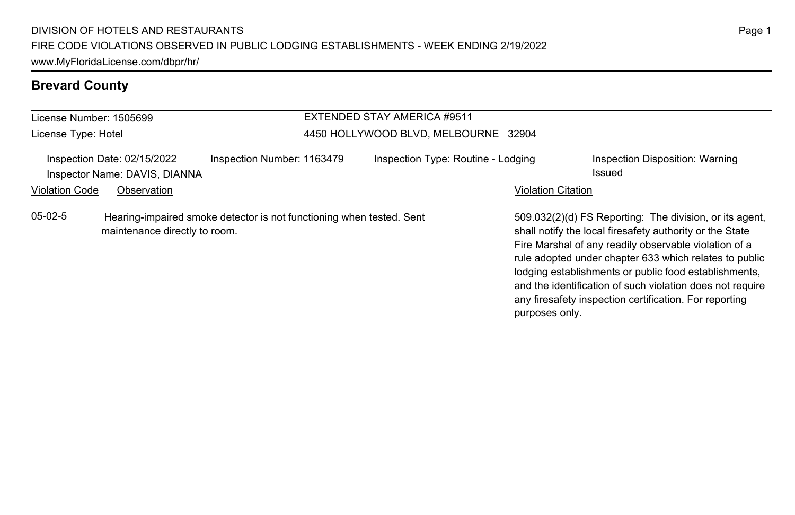# **Brevard County**

| License Number: 1505699 |                                                                             |                                                                      | EXTENDED STAY AMERICA #9511          |                                                                                                                                                                                                                                        |
|-------------------------|-----------------------------------------------------------------------------|----------------------------------------------------------------------|--------------------------------------|----------------------------------------------------------------------------------------------------------------------------------------------------------------------------------------------------------------------------------------|
| License Type: Hotel     |                                                                             |                                                                      | 4450 HOLLYWOOD BLVD, MELBOURNE 32904 |                                                                                                                                                                                                                                        |
| <b>Violation Code</b>   | Inspection Date: 02/15/2022<br>Inspector Name: DAVIS, DIANNA<br>Observation | Inspection Number: 1163479                                           | Inspection Type: Routine - Lodging   | Inspection Disposition: Warning<br>Issued<br><b>Violation Citation</b>                                                                                                                                                                 |
| $05-02-5$               | maintenance directly to room.                                               | Hearing-impaired smoke detector is not functioning when tested. Sent |                                      | 509.032(2)(d) FS Reporting: The division, or its agent,<br>shall notify the local firesafety authority or the State<br>Fire Marshal of any readily observable violation of a<br>rule adopted under chapter 633 which relates to public |

Page 1

lodging establishments or public food establishments, and the identification of such violation does not require any firesafety inspection certification. For reporting

purposes only.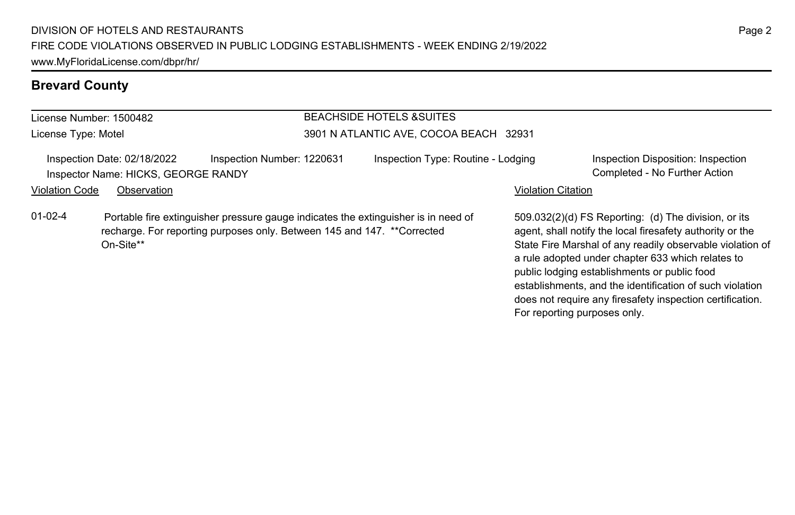# **Brevard County**

| License Number: 1500482 |                                                                    |                                                                                                                                                                | <b>BEACHSIDE HOTELS &amp;SUITES</b>    |                           |                                                                                                                                                                                                                                                                                                                                                 |
|-------------------------|--------------------------------------------------------------------|----------------------------------------------------------------------------------------------------------------------------------------------------------------|----------------------------------------|---------------------------|-------------------------------------------------------------------------------------------------------------------------------------------------------------------------------------------------------------------------------------------------------------------------------------------------------------------------------------------------|
| License Type: Motel     |                                                                    |                                                                                                                                                                | 3901 N ATLANTIC AVE, COCOA BEACH 32931 |                           |                                                                                                                                                                                                                                                                                                                                                 |
|                         | Inspection Date: 02/18/2022<br>Inspector Name: HICKS, GEORGE RANDY | Inspection Number: 1220631                                                                                                                                     | Inspection Type: Routine - Lodging     |                           | Inspection Disposition: Inspection<br>Completed - No Further Action                                                                                                                                                                                                                                                                             |
| <b>Violation Code</b>   | Observation                                                        |                                                                                                                                                                |                                        | <b>Violation Citation</b> |                                                                                                                                                                                                                                                                                                                                                 |
| $01-02-4$               | On-Site**                                                          | Portable fire extinguisher pressure gauge indicates the extinguisher is in need of<br>recharge. For reporting purposes only. Between 145 and 147. ** Corrected |                                        |                           | 509.032(2)(d) FS Reporting: (d) The division, or its<br>agent, shall notify the local firesafety authority or the<br>State Fire Marshal of any readily observable violation of<br>a rule adopted under chapter 633 which relates to<br>public lodging establishments or public food<br>establishments, and the identification of such violation |

does not require any firesafety inspection certification.

For reporting purposes only.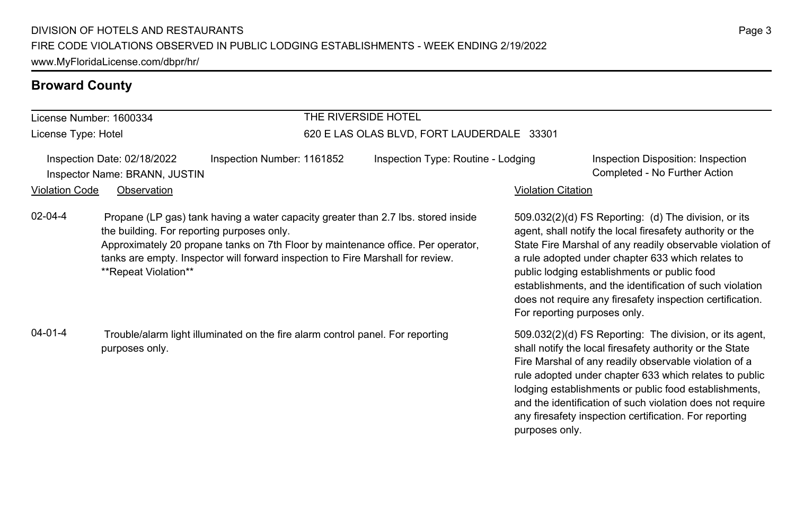#### **Broward County**

License Number: 1600334 License Type: Hotel

# THE RIVERSIDE HOTEL

#### 620 E LAS OLAS BLVD, FORT LAUDERDALE 33301

Inspection Date: 02/18/2022 Inspection Number: 1161852 Inspection Type: Routine - Lodging Inspection Disposition: Inspection Inspector Name: BRANN, JUSTIN Completed - No Further Action

#### Violation Code Observation Violation Citation

02-04-4 Propane (LP gas) tank having a water capacity greater than 2.7 lbs. stored inside the building. For reporting purposes only. Approximately 20 propane tanks on 7th Floor by maintenance office. Per operator,

tanks are empty. Inspector will forward inspection to Fire Marshall for review. \*\*Repeat Violation\*\*

04-01-4 Trouble/alarm light illuminated on the fire alarm control panel. For reporting purposes only.

509.032(2)(d) FS Reporting: (d) The division, or its agent, shall notify the local firesafety authority or the State Fire Marshal of any readily observable violation of a rule adopted under chapter 633 which relates to public lodging establishments or public food establishments, and the identification of such violation does not require any firesafety inspection certification. For reporting purposes only.

509.032(2)(d) FS Reporting: The division, or its agent, shall notify the local firesafety authority or the State Fire Marshal of any readily observable violation of a rule adopted under chapter 633 which relates to public lodging establishments or public food establishments, and the identification of such violation does not require any firesafety inspection certification. For reporting purposes only.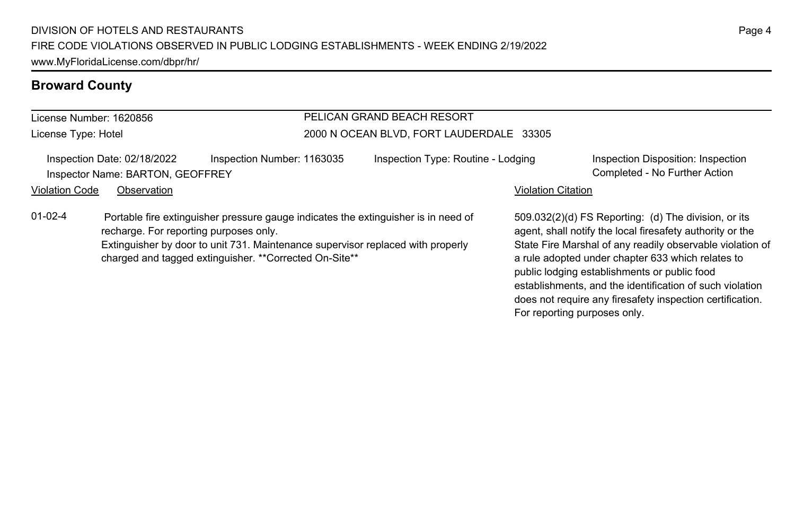#### **Broward County**

#### License Number: 1620856 License Type: Hotel PELICAN GRAND BEACH RESORT 2000 N OCEAN BLVD, FORT LAUDERDALE 33305 Inspection Date: 02/18/2022 Inspection Number: 1163035 Inspection Type: Routine - Lodging Inspection Disposition: Inspection Inspector Name: BARTON, GEOFFREY Completed - No Further Action Violation Code Observation **Violation Code** Observation **Violation** Violation Citation Citation Citation Citation 509.032(2)(d) FS Reporting: (d) The division, or its agent, shall notify the local firesafety authority or the State Fire Marshal of any readily observable violation of a rule adopted under chapter 633 which relates to public lodging establishments or public food establishments, and the identification of such violation does not require any firesafety inspection certification. 01-02-4 Portable fire extinguisher pressure gauge indicates the extinguisher is in need of recharge. For reporting purposes only. Extinguisher by door to unit 731. Maintenance supervisor replaced with properly charged and tagged extinguisher. \*\*Corrected On-Site\*\*

For reporting purposes only.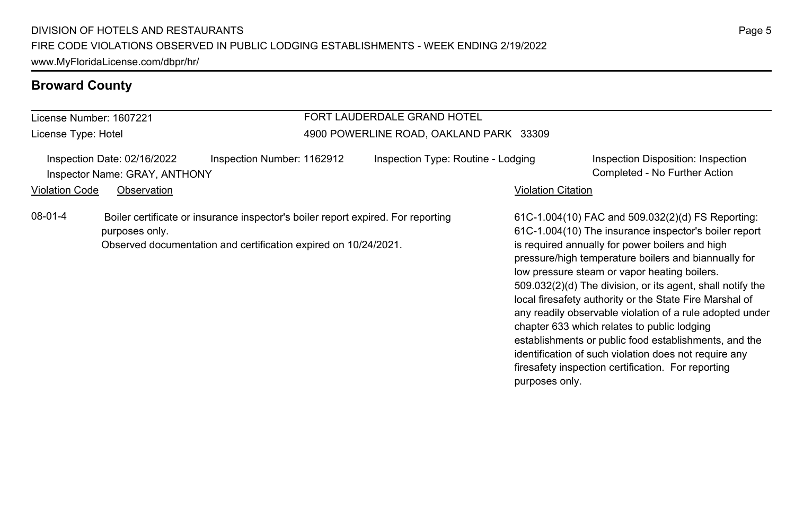#### **Broward County**

#### License Number: 1607221 License Type: Hotel FORT LAUDERDALE GRAND HOTEL 4900 POWERLINE ROAD, OAKLAND PARK 33309 Inspection Date: 02/16/2022 Inspection Number: 1162912 Inspection Type: Routine - Lodging Inspection Disposition: Inspection Inspector Name: GRAY, ANTHONY Completed - No Further Action Violation Code Observation **Violation Code** Observation **Violation** Violation Citation Citation Citation Citation 61C-1.004(10) FAC and 509.032(2)(d) FS Reporting: 61C-1.004(10) The insurance inspector's boiler report is required annually for power boilers and high pressure/high temperature boilers and biannually for low pressure steam or vapor heating boilers. 509.032(2)(d) The division, or its agent, shall notify the local firesafety authority or the State Fire Marshal of any readily observable violation of a rule adopted under chapter 633 which relates to public lodging establishments or public food establishments, and the identification of such violation does not require any 08-01-4 Boiler certificate or insurance inspector's boiler report expired. For reporting purposes only. Observed documentation and certification expired on 10/24/2021.

firesafety inspection certification. For reporting

purposes only.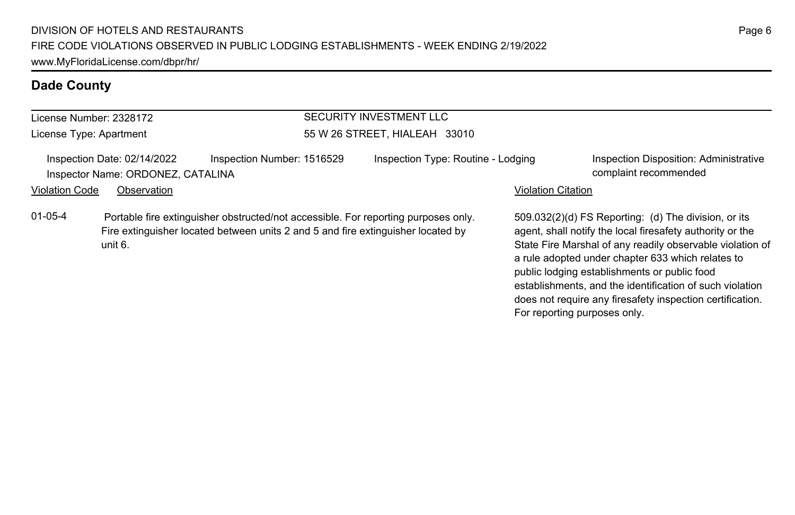| License Number: 2328172 |                                                                  |                            | SECURITY INVESTMENT LLC                                                                                                                                                |                           |                                                                                                                                                                                                                                     |  |
|-------------------------|------------------------------------------------------------------|----------------------------|------------------------------------------------------------------------------------------------------------------------------------------------------------------------|---------------------------|-------------------------------------------------------------------------------------------------------------------------------------------------------------------------------------------------------------------------------------|--|
| License Type: Apartment |                                                                  |                            | 55 W 26 STREET, HIALEAH 33010                                                                                                                                          |                           |                                                                                                                                                                                                                                     |  |
|                         | Inspection Date: 02/14/2022<br>Inspector Name: ORDONEZ, CATALINA | Inspection Number: 1516529 | Inspection Type: Routine - Lodging                                                                                                                                     |                           | Inspection Disposition: Administrative<br>complaint recommended                                                                                                                                                                     |  |
| <b>Violation Code</b>   | Observation                                                      |                            |                                                                                                                                                                        | <b>Violation Citation</b> |                                                                                                                                                                                                                                     |  |
| $01 - 05 - 4$           | unit 6.                                                          |                            | Portable fire extinguisher obstructed/not accessible. For reporting purposes only.<br>Fire extinguisher located between units 2 and 5 and fire extinguisher located by |                           | 509.032(2)(d) FS Reporting: (d) The division, or its<br>agent, shall notify the local firesafety authority or the<br>State Fire Marshal of any readily observable violation of<br>a rule adopted under chapter 633 which relates to |  |

public lodging establishments or public food

For reporting purposes only.

establishments, and the identification of such violation does not require any firesafety inspection certification.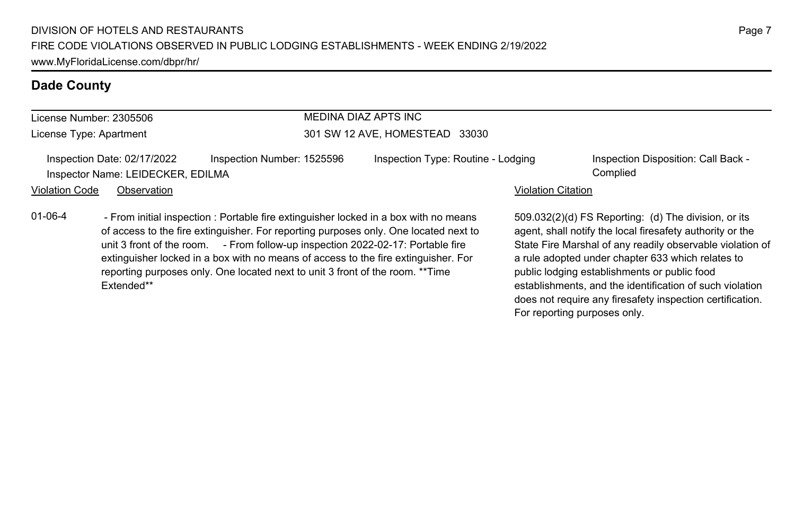Extended\*\*

| License Number: 2305506 |                                                                  | MEDINA DIAZ APTS INC<br>301 SW 12 AVE, HOMESTEAD 33030                                                                                                           |  |                                                                                                                                                                                                                                                                    |                           |                                                                                                                                                                                                                                                                                     |
|-------------------------|------------------------------------------------------------------|------------------------------------------------------------------------------------------------------------------------------------------------------------------|--|--------------------------------------------------------------------------------------------------------------------------------------------------------------------------------------------------------------------------------------------------------------------|---------------------------|-------------------------------------------------------------------------------------------------------------------------------------------------------------------------------------------------------------------------------------------------------------------------------------|
| License Type: Apartment |                                                                  |                                                                                                                                                                  |  |                                                                                                                                                                                                                                                                    |                           |                                                                                                                                                                                                                                                                                     |
|                         | Inspection Date: 02/17/2022<br>Inspector Name: LEIDECKER, EDILMA | Inspection Number: 1525596                                                                                                                                       |  | Inspection Type: Routine - Lodging                                                                                                                                                                                                                                 |                           | Inspection Disposition: Call Back -<br>Complied                                                                                                                                                                                                                                     |
| <b>Violation Code</b>   | Observation                                                      |                                                                                                                                                                  |  |                                                                                                                                                                                                                                                                    | <b>Violation Citation</b> |                                                                                                                                                                                                                                                                                     |
| $01 - 06 - 4$           |                                                                  | unit 3 front of the room. - From follow-up inspection 2022-02-17: Portable fire<br>reporting purposes only. One located next to unit 3 front of the room. **Time |  | - From initial inspection : Portable fire extinguisher locked in a box with no means<br>of access to the fire extinguisher. For reporting purposes only. One located next to<br>extinguisher locked in a box with no means of access to the fire extinguisher. For |                           | 509.032(2)(d) FS Reporting: (d) The division, or its<br>agent, shall notify the local firesafety authority or the<br>State Fire Marshal of any readily observable violation of<br>a rule adopted under chapter 633 which relates to<br>public lodging establishments or public food |

establishments, and the identification of such violation does not require any firesafety inspection certification.

For reporting purposes only.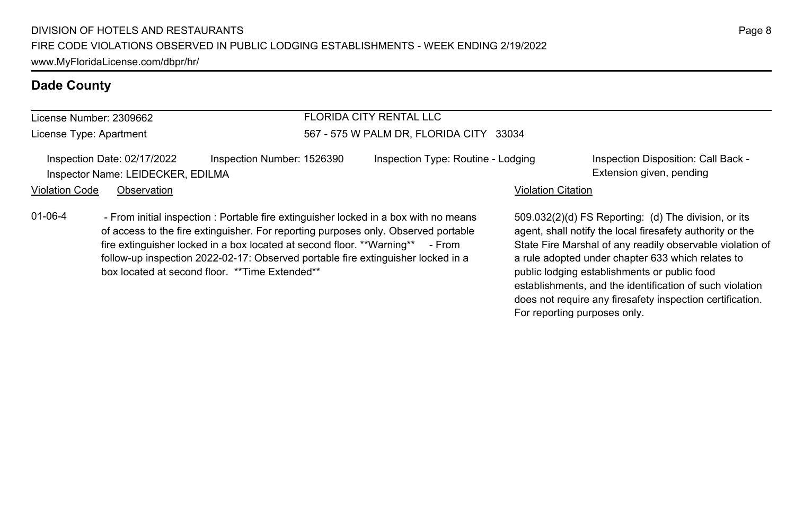01-06-4 - From initial inspection : Portable fire extinguisher locked in a box with no means

of access to the fire extinguisher. For reporting purposes only. Observed portable fire extinguisher locked in a box located at second floor. \*\*Warning\*\* - From follow-up inspection 2022-02-17: Observed portable fire extinguisher locked in a

#### **Dade County**

#### License Number: 2309662

License Type: Apartment

#### FLORIDA CITY RENTAL LLC 567 - 575 W PALM DR, FLORIDA CITY 33034

Inspection Date: 02/17/2022 Inspection Number: 1526390 Inspection Type: Routine - Lodging Inspection Disposition: Call Back -Inspector Name: LEIDECKER, EDILMA **Extension given, pending** 

box located at second floor. \*\*Time Extended\*\*

#### Violation Code Observation **Violation Code** Observation **Violation** Violation Citation Citation Citation Citation

509.032(2)(d) FS Reporting: (d) The division, or its agent, shall notify the local firesafety authority or the State Fire Marshal of any readily observable violation of a rule adopted under chapter 633 which relates to public lodging establishments or public food establishments, and the identification of such violation does not require any firesafety inspection certification. For reporting purposes only.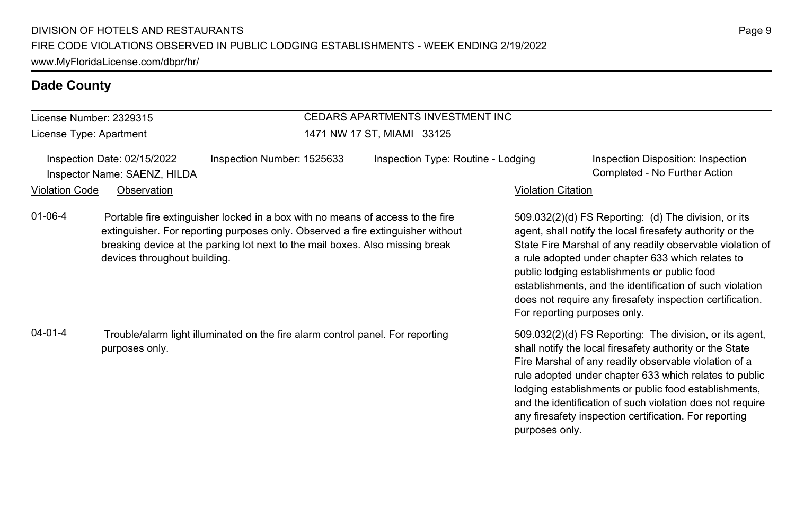#### License Number: 2329315

License Type: Apartment

# CEDARS APARTMENTS INVESTMENT INC

1471 NW 17 ST, MIAMI 33125

Inspection Date: 02/15/2022 Inspection Number: 1525633 Inspection Type: Routine - Lodging Inspection Disposition: Inspection Violation Code Observation **Violation Code** Observation **Violation** Violation Citation Citation Citation Citation

Inspector Name: SAENZ, HILDA Completed - No Further Action

509.032(2)(d) FS Reporting: (d) The division, or its agent, shall notify the local firesafety authority or the State Fire Marshal of any readily observable violation of a rule adopted under chapter 633 which relates to public lodging establishments or public food establishments, and the identification of such violation does not require any firesafety inspection certification. For reporting purposes only.

509.032(2)(d) FS Reporting: The division, or its agent, shall notify the local firesafety authority or the State Fire Marshal of any readily observable violation of a rule adopted under chapter 633 which relates to public lodging establishments or public food establishments, and the identification of such violation does not require any firesafety inspection certification. For reporting purposes only.

# 01-06-4 Portable fire extinguisher locked in a box with no means of access to the fire extinguisher. For reporting purposes only. Observed a fire extinguisher without breaking device at the parking lot next to the mail boxes. Also missing break devices throughout building.

04-01-4 Trouble/alarm light illuminated on the fire alarm control panel. For reporting purposes only.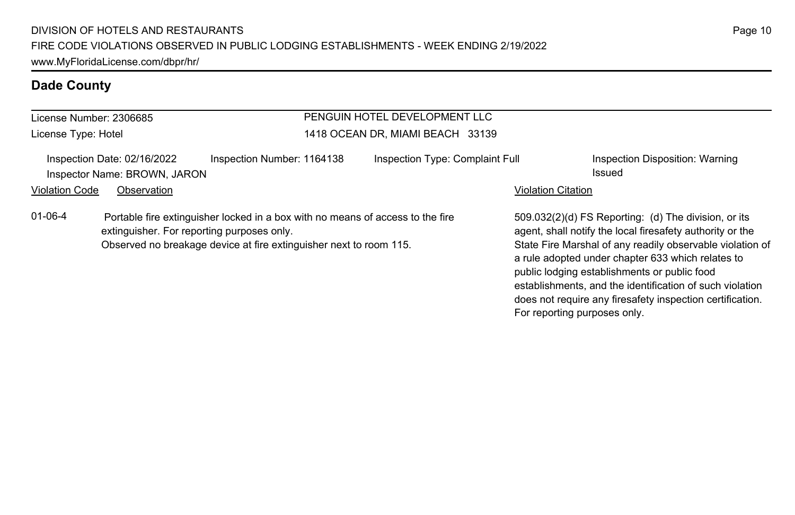| License Number: 2306685 |                                                             |                                                                                                                                                                                                    | PENGUIN HOTEL DEVELOPMENT LLC    |                           |                                                                                                                                                                                                                                                                                     |  |
|-------------------------|-------------------------------------------------------------|----------------------------------------------------------------------------------------------------------------------------------------------------------------------------------------------------|----------------------------------|---------------------------|-------------------------------------------------------------------------------------------------------------------------------------------------------------------------------------------------------------------------------------------------------------------------------------|--|
| License Type: Hotel     |                                                             |                                                                                                                                                                                                    | 1418 OCEAN DR, MIAMI BEACH 33139 |                           |                                                                                                                                                                                                                                                                                     |  |
|                         | Inspection Date: 02/16/2022<br>Inspector Name: BROWN, JARON | Inspection Number: 1164138                                                                                                                                                                         | Inspection Type: Complaint Full  |                           | Inspection Disposition: Warning<br>Issued                                                                                                                                                                                                                                           |  |
| <b>Violation Code</b>   | Observation                                                 |                                                                                                                                                                                                    |                                  | <b>Violation Citation</b> |                                                                                                                                                                                                                                                                                     |  |
| $01 - 06 - 4$           |                                                             | Portable fire extinguisher locked in a box with no means of access to the fire<br>extinguisher. For reporting purposes only.<br>Observed no breakage device at fire extinguisher next to room 115. |                                  |                           | 509.032(2)(d) FS Reporting: (d) The division, or its<br>agent, shall notify the local firesafety authority or the<br>State Fire Marshal of any readily observable violation of<br>a rule adopted under chapter 633 which relates to<br>public lodging establishments or public food |  |

establishments, and the identification of such violation does not require any firesafety inspection certification.

For reporting purposes only.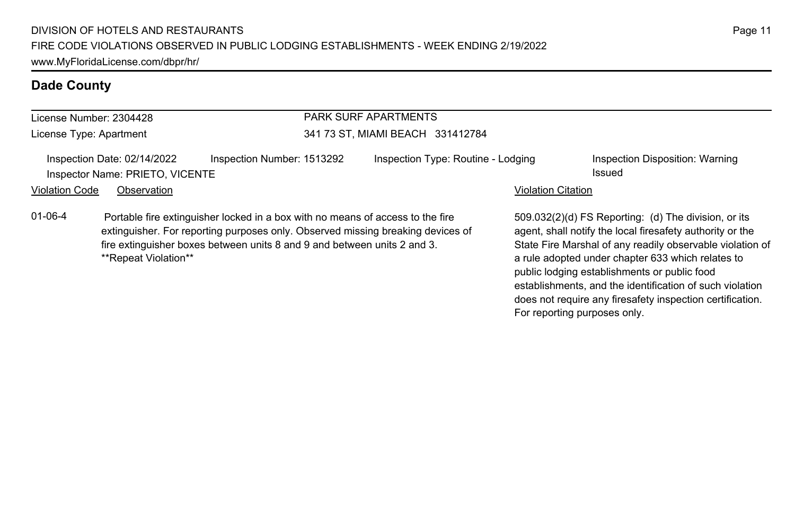| License Number: 2304428 |                                                                |                                                                                                                                                                                                                                               | <b>PARK SURF APARTMENTS</b>        |                           |                                                                                                                                                                                                                                     |  |  |
|-------------------------|----------------------------------------------------------------|-----------------------------------------------------------------------------------------------------------------------------------------------------------------------------------------------------------------------------------------------|------------------------------------|---------------------------|-------------------------------------------------------------------------------------------------------------------------------------------------------------------------------------------------------------------------------------|--|--|
|                         | License Type: Apartment                                        |                                                                                                                                                                                                                                               | 341 73 ST, MIAMI BEACH 331412784   |                           |                                                                                                                                                                                                                                     |  |  |
|                         | Inspection Date: 02/14/2022<br>Inspector Name: PRIETO, VICENTE | Inspection Number: 1513292                                                                                                                                                                                                                    | Inspection Type: Routine - Lodging |                           | Inspection Disposition: Warning<br>Issued                                                                                                                                                                                           |  |  |
| <b>Violation Code</b>   | Observation                                                    |                                                                                                                                                                                                                                               |                                    | <b>Violation Citation</b> |                                                                                                                                                                                                                                     |  |  |
| $01 - 06 - 4$           | **Repeat Violation**                                           | Portable fire extinguisher locked in a box with no means of access to the fire<br>extinguisher. For reporting purposes only. Observed missing breaking devices of<br>fire extinguisher boxes between units 8 and 9 and between units 2 and 3. |                                    |                           | 509.032(2)(d) FS Reporting: (d) The division, or its<br>agent, shall notify the local firesafety authority or the<br>State Fire Marshal of any readily observable violation of<br>a rule adopted under chapter 633 which relates to |  |  |

public lodging establishments or public food

For reporting purposes only.

establishments, and the identification of such violation does not require any firesafety inspection certification.

Page 11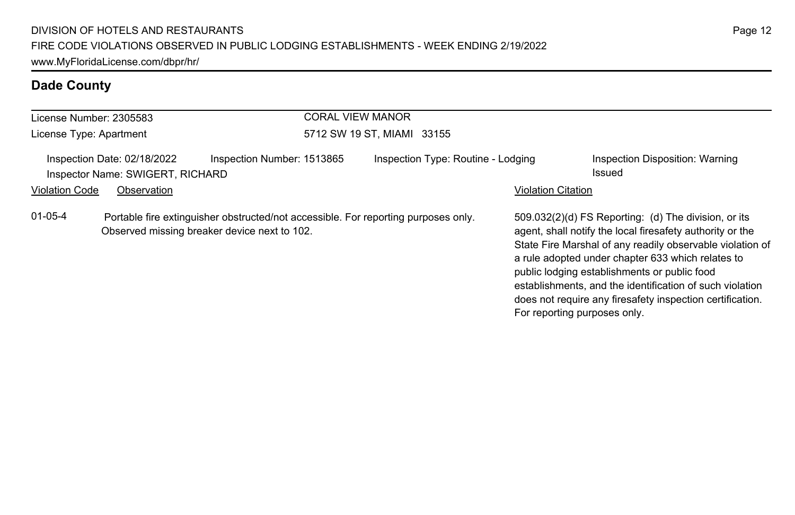| License Number: 2305583 |                                                                 | <b>CORAL VIEW MANOR</b>                                                                                                            |                                    |                           |                                                                                                                                                                                                                                                                                                                                                                                                                                              |
|-------------------------|-----------------------------------------------------------------|------------------------------------------------------------------------------------------------------------------------------------|------------------------------------|---------------------------|----------------------------------------------------------------------------------------------------------------------------------------------------------------------------------------------------------------------------------------------------------------------------------------------------------------------------------------------------------------------------------------------------------------------------------------------|
| License Type: Apartment |                                                                 |                                                                                                                                    | 5712 SW 19 ST, MIAMI 33155         |                           |                                                                                                                                                                                                                                                                                                                                                                                                                                              |
|                         | Inspection Date: 02/18/2022<br>Inspector Name: SWIGERT, RICHARD | Inspection Number: 1513865                                                                                                         | Inspection Type: Routine - Lodging |                           | Inspection Disposition: Warning<br>Issued                                                                                                                                                                                                                                                                                                                                                                                                    |
| <b>Violation Code</b>   | Observation                                                     |                                                                                                                                    |                                    | <b>Violation Citation</b> |                                                                                                                                                                                                                                                                                                                                                                                                                                              |
| $01 - 05 - 4$           |                                                                 | Portable fire extinguisher obstructed/not accessible. For reporting purposes only.<br>Observed missing breaker device next to 102. |                                    |                           | 509.032(2)(d) FS Reporting: (d) The division, or its<br>agent, shall notify the local firesafety authority or the<br>State Fire Marshal of any readily observable violation of<br>a rule adopted under chapter 633 which relates to<br>public lodging establishments or public food<br>establishments, and the identification of such violation<br>does not require any firesafety inspection certification.<br>For reporting purposes only. |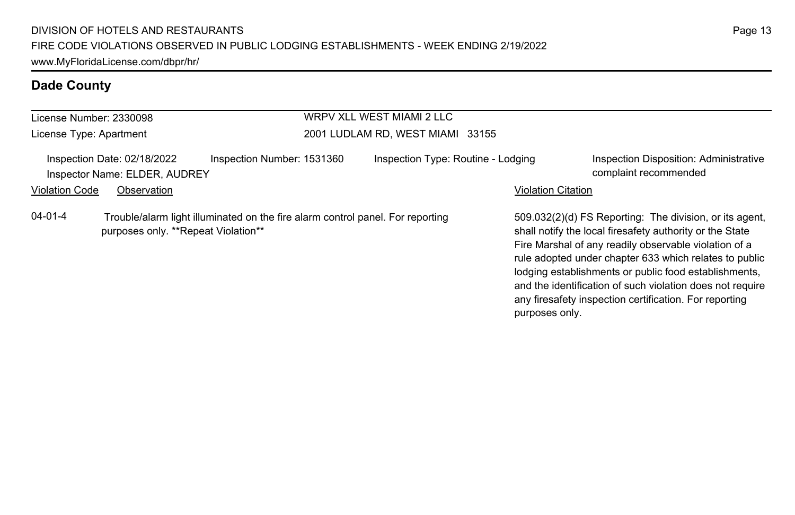| License Number: 2330098                                      | WRPV XLL WEST MIAMI 2 LLC                                                                                             |                                    |                                                                                                                                                                                                                                                                                                 |  |  |  |  |
|--------------------------------------------------------------|-----------------------------------------------------------------------------------------------------------------------|------------------------------------|-------------------------------------------------------------------------------------------------------------------------------------------------------------------------------------------------------------------------------------------------------------------------------------------------|--|--|--|--|
| License Type: Apartment                                      |                                                                                                                       | 2001 LUDLAM RD, WEST MIAMI 33155   |                                                                                                                                                                                                                                                                                                 |  |  |  |  |
| Inspection Date: 02/18/2022<br>Inspector Name: ELDER, AUDREY | Inspection Number: 1531360                                                                                            | Inspection Type: Routine - Lodging | Inspection Disposition: Administrative<br>complaint recommended                                                                                                                                                                                                                                 |  |  |  |  |
| <b>Violation Code</b><br>Observation                         |                                                                                                                       |                                    | <b>Violation Citation</b>                                                                                                                                                                                                                                                                       |  |  |  |  |
| $04 - 01 - 4$                                                | Trouble/alarm light illuminated on the fire alarm control panel. For reporting<br>purposes only. **Repeat Violation** |                                    | 509.032(2)(d) FS Reporting: The division, or its agent,<br>shall notify the local firesafety authority or the State<br>Fire Marshal of any readily observable violation of a<br>rule adopted under chapter 633 which relates to public<br>lodging establishments or public food establishments, |  |  |  |  |

and the identification of such violation does not require any firesafety inspection certification. For reporting

purposes only.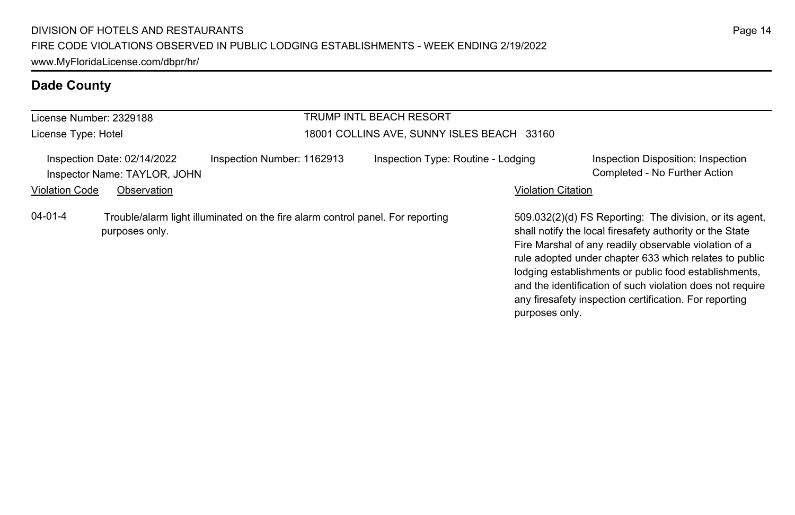| License Number: 2329188 |                                                             |                                                                                | TRUMP INTL BEACH RESORT                    |                           |                                                                                                                                                                                                                                                                                                                                                                                                                        |
|-------------------------|-------------------------------------------------------------|--------------------------------------------------------------------------------|--------------------------------------------|---------------------------|------------------------------------------------------------------------------------------------------------------------------------------------------------------------------------------------------------------------------------------------------------------------------------------------------------------------------------------------------------------------------------------------------------------------|
| License Type: Hotel     |                                                             |                                                                                | 18001 COLLINS AVE, SUNNY ISLES BEACH 33160 |                           |                                                                                                                                                                                                                                                                                                                                                                                                                        |
|                         | Inspection Date: 02/14/2022<br>Inspector Name: TAYLOR, JOHN | Inspection Number: 1162913                                                     | Inspection Type: Routine - Lodging         |                           | Inspection Disposition: Inspection<br>Completed - No Further Action                                                                                                                                                                                                                                                                                                                                                    |
| <b>Violation Code</b>   | Observation                                                 |                                                                                |                                            | <b>Violation Citation</b> |                                                                                                                                                                                                                                                                                                                                                                                                                        |
| $04 - 01 - 4$           | purposes only.                                              | Trouble/alarm light illuminated on the fire alarm control panel. For reporting |                                            | purposes only.            | 509.032(2)(d) FS Reporting: The division, or its agent.<br>shall notify the local firesafety authority or the State<br>Fire Marshal of any readily observable violation of a<br>rule adopted under chapter 633 which relates to public<br>lodging establishments or public food establishments,<br>and the identification of such violation does not require<br>any firesafety inspection certification. For reporting |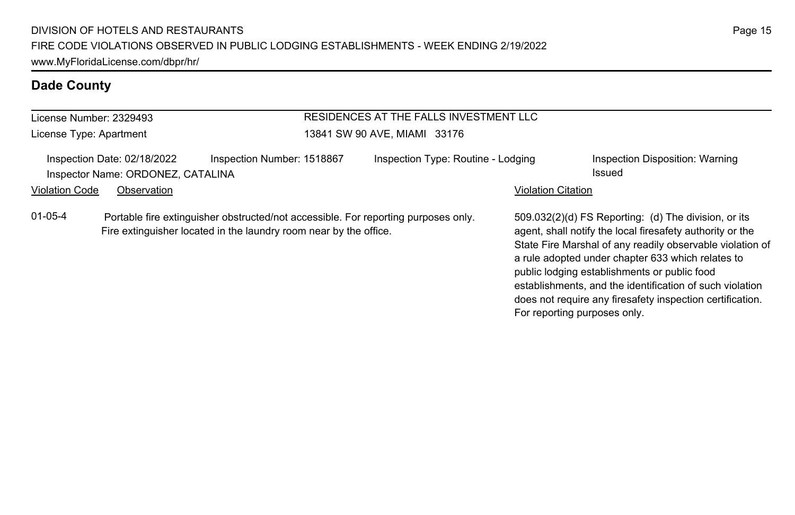| RESIDENCES AT THE FALLS INVESTMENT LLC<br>License Number: 2329493 |                                                                  |                                                                                                                                                         |  |                                    |                           |                                                                                                                                                                                                                                                                                                                                                                                                              |
|-------------------------------------------------------------------|------------------------------------------------------------------|---------------------------------------------------------------------------------------------------------------------------------------------------------|--|------------------------------------|---------------------------|--------------------------------------------------------------------------------------------------------------------------------------------------------------------------------------------------------------------------------------------------------------------------------------------------------------------------------------------------------------------------------------------------------------|
| License Type: Apartment                                           |                                                                  |                                                                                                                                                         |  | 13841 SW 90 AVE, MIAMI 33176       |                           |                                                                                                                                                                                                                                                                                                                                                                                                              |
|                                                                   | Inspection Date: 02/18/2022<br>Inspector Name: ORDONEZ, CATALINA | Inspection Number: 1518867                                                                                                                              |  | Inspection Type: Routine - Lodging |                           | Inspection Disposition: Warning<br>Issued                                                                                                                                                                                                                                                                                                                                                                    |
| <b>Violation Code</b>                                             | Observation                                                      |                                                                                                                                                         |  |                                    | <b>Violation Citation</b> |                                                                                                                                                                                                                                                                                                                                                                                                              |
| $01 - 05 - 4$                                                     |                                                                  | Portable fire extinguisher obstructed/not accessible. For reporting purposes only.<br>Fire extinguisher located in the laundry room near by the office. |  |                                    |                           | 509.032(2)(d) FS Reporting: (d) The division, or its<br>agent, shall notify the local firesafety authority or the<br>State Fire Marshal of any readily observable violation of<br>a rule adopted under chapter 633 which relates to<br>public lodging establishments or public food<br>establishments, and the identification of such violation<br>does not require any firesafety inspection certification. |

For reporting purposes only.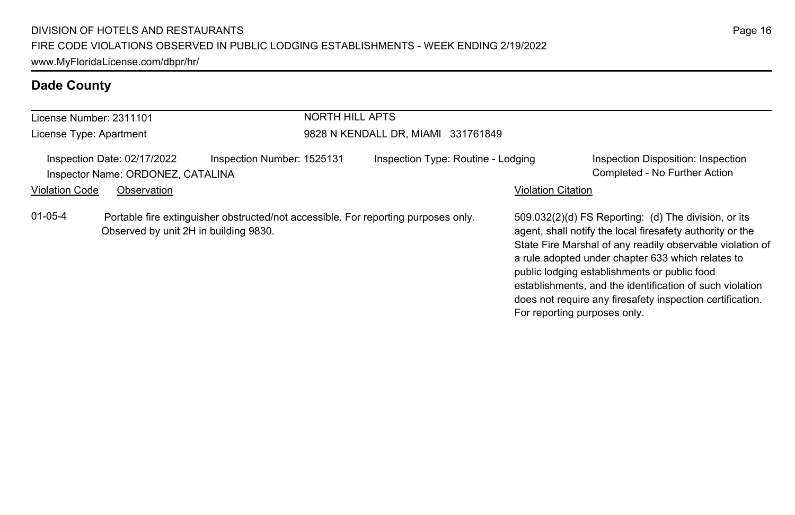| License Number: 2311101 |                                                                  |                                                                                    | <b>NORTH HILL APTS</b> |                                    |                              |                                                                                                                                                                                                                                                                                                                                                                                                              |
|-------------------------|------------------------------------------------------------------|------------------------------------------------------------------------------------|------------------------|------------------------------------|------------------------------|--------------------------------------------------------------------------------------------------------------------------------------------------------------------------------------------------------------------------------------------------------------------------------------------------------------------------------------------------------------------------------------------------------------|
| License Type: Apartment |                                                                  |                                                                                    |                        | 9828 N KENDALL DR, MIAMI 331761849 |                              |                                                                                                                                                                                                                                                                                                                                                                                                              |
|                         | Inspection Date: 02/17/2022<br>Inspector Name: ORDONEZ, CATALINA | Inspection Number: 1525131                                                         |                        | Inspection Type: Routine - Lodging |                              | Inspection Disposition: Inspection<br>Completed - No Further Action                                                                                                                                                                                                                                                                                                                                          |
| <b>Violation Code</b>   | Observation                                                      |                                                                                    |                        |                                    | <b>Violation Citation</b>    |                                                                                                                                                                                                                                                                                                                                                                                                              |
| $01 - 05 - 4$           | Observed by unit 2H in building 9830.                            | Portable fire extinguisher obstructed/not accessible. For reporting purposes only. |                        |                                    | For reporting purposes only. | 509.032(2)(d) FS Reporting: (d) The division, or its<br>agent, shall notify the local firesafety authority or the<br>State Fire Marshal of any readily observable violation of<br>a rule adopted under chapter 633 which relates to<br>public lodging establishments or public food<br>establishments, and the identification of such violation<br>does not require any firesafety inspection certification. |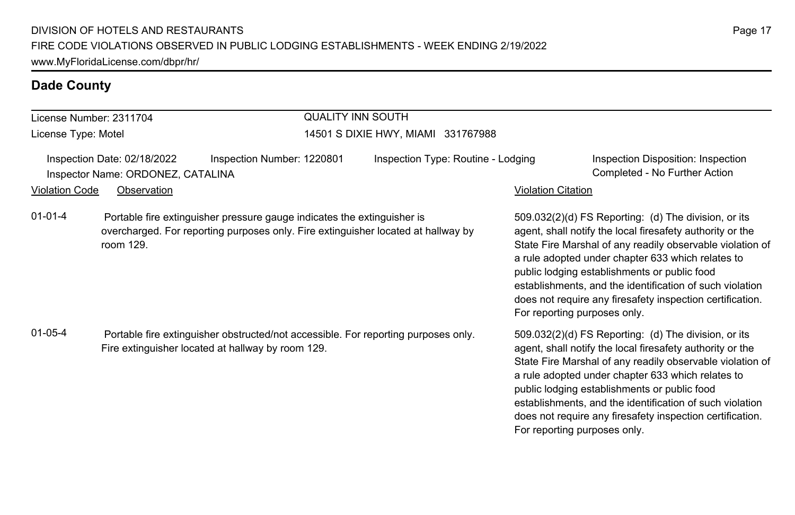| License Number: 2311704                                                                                                                                                                    |                                                                                                | <b>QUALITY INN SOUTH</b>           |                              |                                                                                                                                                                                                                                                                                                                                                                                                                                              |  |  |
|--------------------------------------------------------------------------------------------------------------------------------------------------------------------------------------------|------------------------------------------------------------------------------------------------|------------------------------------|------------------------------|----------------------------------------------------------------------------------------------------------------------------------------------------------------------------------------------------------------------------------------------------------------------------------------------------------------------------------------------------------------------------------------------------------------------------------------------|--|--|
| License Type: Motel                                                                                                                                                                        |                                                                                                | 14501 S DIXIE HWY, MIAMI 331767988 |                              |                                                                                                                                                                                                                                                                                                                                                                                                                                              |  |  |
|                                                                                                                                                                                            | Inspection Date: 02/18/2022<br>Inspection Number: 1220801<br>Inspector Name: ORDONEZ, CATALINA | Inspection Type: Routine - Lodging |                              | Inspection Disposition: Inspection<br>Completed - No Further Action                                                                                                                                                                                                                                                                                                                                                                          |  |  |
| <b>Violation Code</b>                                                                                                                                                                      | Observation                                                                                    |                                    | <b>Violation Citation</b>    |                                                                                                                                                                                                                                                                                                                                                                                                                                              |  |  |
| $01 - 01 - 4$<br>Portable fire extinguisher pressure gauge indicates the extinguisher is<br>overcharged. For reporting purposes only. Fire extinguisher located at hallway by<br>room 129. |                                                                                                |                                    |                              | 509.032(2)(d) FS Reporting: (d) The division, or its<br>agent, shall notify the local firesafety authority or the<br>State Fire Marshal of any readily observable violation of<br>a rule adopted under chapter 633 which relates to<br>public lodging establishments or public food<br>establishments, and the identification of such violation<br>does not require any firesafety inspection certification.<br>For reporting purposes only. |  |  |
| $01 - 05 - 4$<br>Portable fire extinguisher obstructed/not accessible. For reporting purposes only.<br>Fire extinguisher located at hallway by room 129.                                   |                                                                                                |                                    | For reporting purposes only. | 509.032(2)(d) FS Reporting: (d) The division, or its<br>agent, shall notify the local firesafety authority or the<br>State Fire Marshal of any readily observable violation of<br>a rule adopted under chapter 633 which relates to<br>public lodging establishments or public food<br>establishments, and the identification of such violation<br>does not require any firesafety inspection certification.                                 |  |  |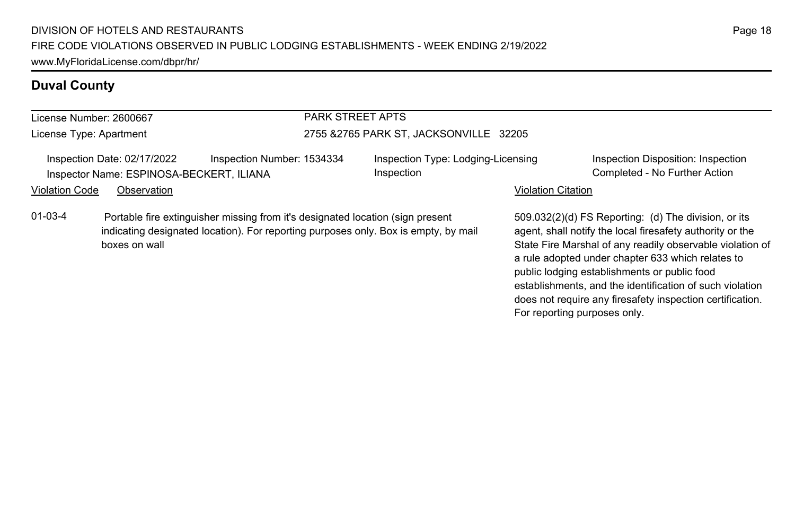#### License Number: 2600667

License Type: Apartment

#### PARK STREET APTS

#### 2755 &2765 PARK ST, JACKSONVILLE 32205

Inspection Date: 02/17/2022 Inspection Number: 1534334 Inspection Type: Lodging-Licensing Inspector Name: ESPINOSA-BECKERT, ILIANA Completed - No Further Action Completed - No Further Action

Inspection

Inspection Disposition: Inspection

#### Violation Code Observation **Violation Code** Observation **Violation** Violation Citation Citation **Violation**

01-03-4 Portable fire extinguisher missing from it's designated location (sign present indicating designated location). For reporting purposes only. Box is empty, by mail boxes on wall

509.032(2)(d) FS Reporting: (d) The division, or its agent, shall notify the local firesafety authority or the State Fire Marshal of any readily observable violation of a rule adopted under chapter 633 which relates to public lodging establishments or public food establishments, and the identification of such violation does not require any firesafety inspection certification. For reporting purposes only.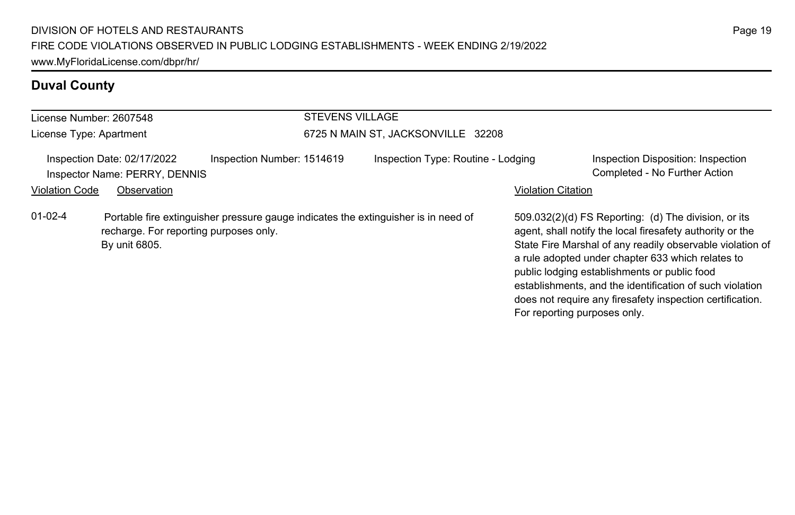| License Number: 2607548 |                                                              |                            | <b>STEVENS VILLAGE</b> |                                                                                    |                              |                                                                                                                                                                                                                                                                                                                                                                                                              |
|-------------------------|--------------------------------------------------------------|----------------------------|------------------------|------------------------------------------------------------------------------------|------------------------------|--------------------------------------------------------------------------------------------------------------------------------------------------------------------------------------------------------------------------------------------------------------------------------------------------------------------------------------------------------------------------------------------------------------|
| License Type: Apartment |                                                              |                            |                        | 6725 N MAIN ST, JACKSONVILLE 32208                                                 |                              |                                                                                                                                                                                                                                                                                                                                                                                                              |
|                         | Inspection Date: 02/17/2022<br>Inspector Name: PERRY, DENNIS | Inspection Number: 1514619 |                        | Inspection Type: Routine - Lodging                                                 |                              | Inspection Disposition: Inspection<br>Completed - No Further Action                                                                                                                                                                                                                                                                                                                                          |
| <b>Violation Code</b>   | Observation                                                  |                            |                        |                                                                                    | <b>Violation Citation</b>    |                                                                                                                                                                                                                                                                                                                                                                                                              |
| $01 - 02 - 4$           | recharge. For reporting purposes only.<br>By unit 6805.      |                            |                        | Portable fire extinguisher pressure gauge indicates the extinguisher is in need of | For reporting purposes only. | 509.032(2)(d) FS Reporting: (d) The division, or its<br>agent, shall notify the local firesafety authority or the<br>State Fire Marshal of any readily observable violation of<br>a rule adopted under chapter 633 which relates to<br>public lodging establishments or public food<br>establishments, and the identification of such violation<br>does not require any firesafety inspection certification. |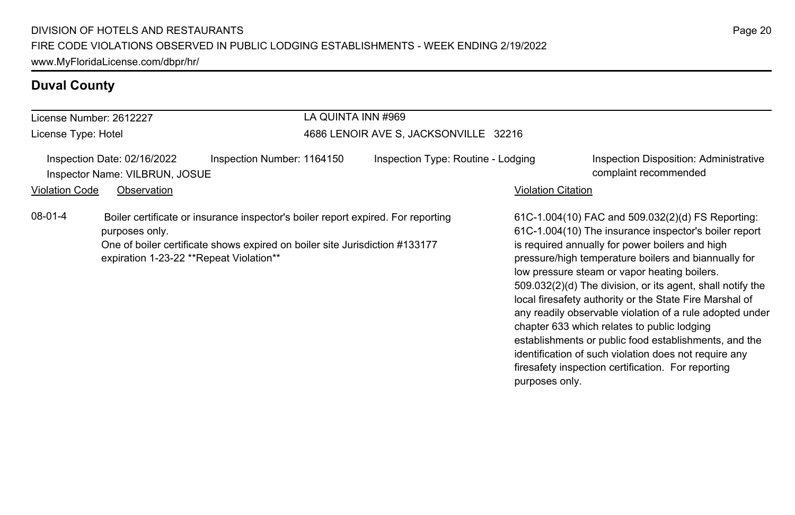| License Number: 2612227                                                                                                                                                                                                                 | LA QUINTA INN #969                    |                                                                                                                                                                                                                                                                                                                                                                                                                                                                                                                                                                    |
|-----------------------------------------------------------------------------------------------------------------------------------------------------------------------------------------------------------------------------------------|---------------------------------------|--------------------------------------------------------------------------------------------------------------------------------------------------------------------------------------------------------------------------------------------------------------------------------------------------------------------------------------------------------------------------------------------------------------------------------------------------------------------------------------------------------------------------------------------------------------------|
| License Type: Hotel                                                                                                                                                                                                                     | 4686 LENOIR AVE S, JACKSONVILLE 32216 |                                                                                                                                                                                                                                                                                                                                                                                                                                                                                                                                                                    |
| Inspection Number: 1164150<br>Inspection Date: 02/16/2022<br>Inspector Name: VILBRUN, JOSUE                                                                                                                                             | Inspection Type: Routine - Lodging    | Inspection Disposition: Administrative<br>complaint recommended                                                                                                                                                                                                                                                                                                                                                                                                                                                                                                    |
| <b>Violation Code</b><br>Observation                                                                                                                                                                                                    |                                       | <b>Violation Citation</b>                                                                                                                                                                                                                                                                                                                                                                                                                                                                                                                                          |
| 08-01-4<br>Boiler certificate or insurance inspector's boiler report expired. For reporting<br>purposes only.<br>One of boiler certificate shows expired on boiler site Jurisdiction #133177<br>expiration 1-23-22 **Repeat Violation** |                                       | 61C-1.004(10) FAC and 509.032(2)(d) FS Reporting:<br>61C-1.004(10) The insurance inspector's boiler report<br>is required annually for power boilers and high<br>pressure/high temperature boilers and biannually for<br>low pressure steam or vapor heating boilers.<br>509.032(2)(d) The division, or its agent, shall notify the<br>local firesafety authority or the State Fire Marshal of<br>any readily observable violation of a rule adopted under<br>chapter 633 which relates to public lodging<br>establishments or public food establishments, and the |

identification of such violation does not require any firesafety inspection certification. For reporting

purposes only.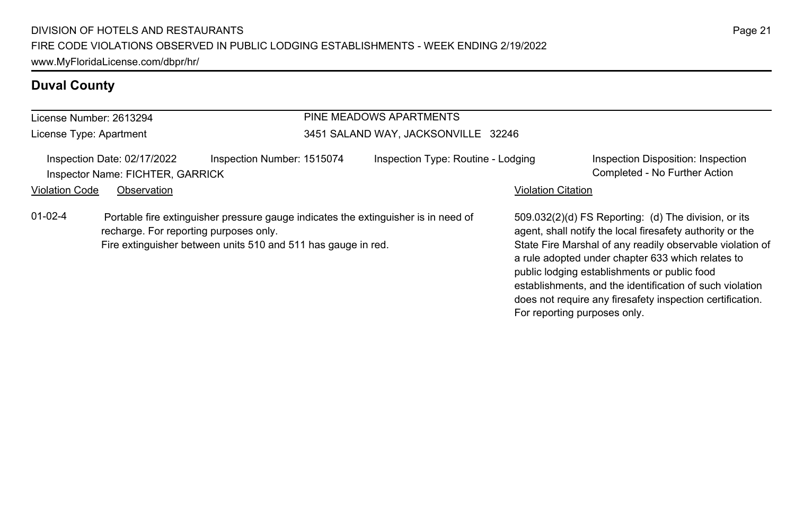#### License Number: 2613294 License Type: Apartment PINE MEADOWS APARTMENTS 3451 SALAND WAY, JACKSONVILLE 32246 Inspection Date: 02/17/2022 Inspection Number: 1515074 Inspection Type: Routine - Lodging Inspection Disposition: Inspection Inspector Name: FICHTER, GARRICK Completed - No Further Action Violation Code Observation **Violation Code** Observation **Violation** Violation Citation Citation **Violation** 509.032(2)(d) FS Reporting: (d) The division, or its agent, shall notify the local firesafety authority or the State Fire Marshal of any readily observable violation of a rule adopted under chapter 633 which relates to public lodging establishments or public food establishments, and the identification of such violation does not require any firesafety inspection certification. 01-02-4 Portable fire extinguisher pressure gauge indicates the extinguisher is in need of recharge. For reporting purposes only. Fire extinguisher between units 510 and 511 has gauge in red.

For reporting purposes only.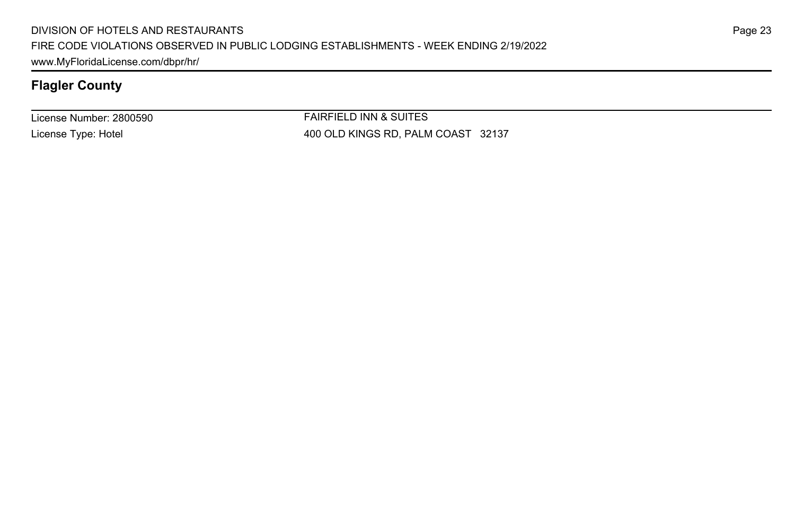License Number: 2800590 License Type: Hotel

FAIRFIELD INN & SUITES 400 OLD KINGS RD, PALM COAST 32137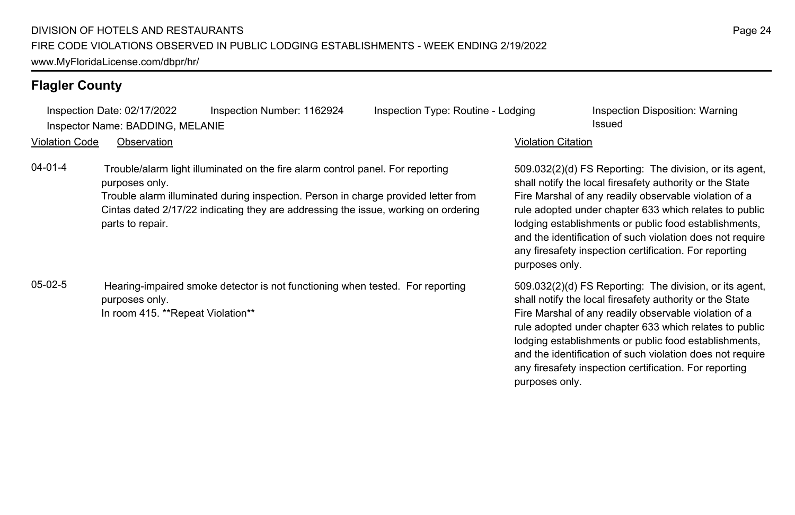Inspection Date: 02/17/2022 Inspection Number: 1162924 Inspection Type: Routine - Lodging Inspection Disposition: Warning Inspector Name: BADDING, MELANIE Issued

Violation Code Observation Violation Citation

04-01-4 Trouble/alarm light illuminated on the fire alarm control panel. For reporting purposes only.

> Trouble alarm illuminated during inspection. Person in charge provided letter from Cintas dated 2/17/22 indicating they are addressing the issue, working on ordering parts to repair.

05-02-5 Hearing-impaired smoke detector is not functioning when tested. For reporting purposes only. In room 415. \*\*Repeat Violation\*\*

509.032(2)(d) FS Reporting: The division, or its agent, shall notify the local firesafety authority or the State Fire Marshal of any readily observable violation of a rule adopted under chapter 633 which relates to public lodging establishments or public food establishments, and the identification of such violation does not require any firesafety inspection certification. For reporting purposes only.

509.032(2)(d) FS Reporting: The division, or its agent, shall notify the local firesafety authority or the State Fire Marshal of any readily observable violation of a rule adopted under chapter 633 which relates to public lodging establishments or public food establishments, and the identification of such violation does not require any firesafety inspection certification. For reporting purposes only.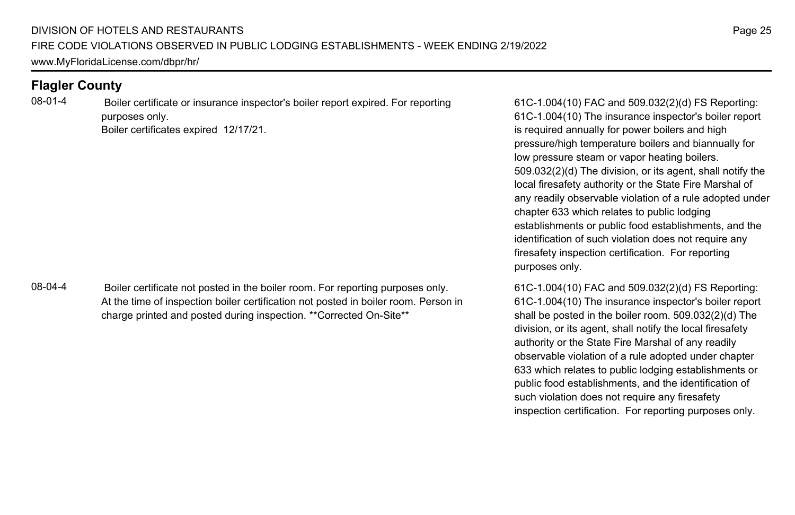08-01-4 Boiler certificate or insurance inspector's boiler report expired. For reporting purposes only. Boiler certificates expired 12/17/21.

08-04-4 Boiler certificate not posted in the boiler room. For reporting purposes only. At the time of inspection boiler certification not posted in boiler room. Person in charge printed and posted during inspection. \*\*Corrected On-Site\*\*

61C-1.004(10) FAC and 509.032(2)(d) FS Reporting: 61C-1.004(10) The insurance inspector's boiler report is required annually for power boilers and high pressure/high temperature boilers and biannually for low pressure steam or vapor heating boilers. 509.032(2)(d) The division, or its agent, shall notify the local firesafety authority or the State Fire Marshal of any readily observable violation of a rule adopted under chapter 633 which relates to public lodging establishments or public food establishments, and the identification of such violation does not require any firesafety inspection certification. For reporting purposes only.

61C-1.004(10) FAC and 509.032(2)(d) FS Reporting: 61C-1.004(10) The insurance inspector's boiler report shall be posted in the boiler room. 509.032(2)(d) The division, or its agent, shall notify the local firesafety authority or the State Fire Marshal of any readily observable violation of a rule adopted under chapter 633 which relates to public lodging establishments or public food establishments, and the identification of such violation does not require any firesafety inspection certification. For reporting purposes only.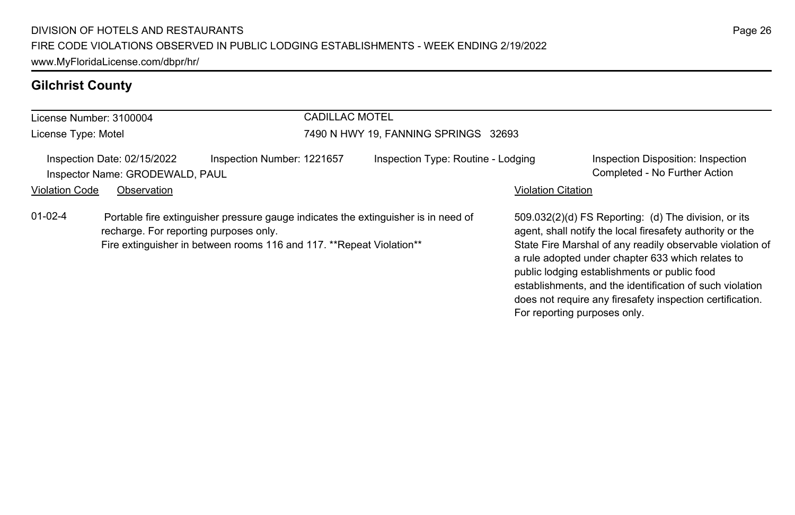# **Gilchrist County**

| License Number: 3100004 |                                                                                                                |                            | <b>CADILLAC MOTEL</b> |                                                                                    |                              |                                                                                                                                                                                                                                                                                                                                                                                                              |
|-------------------------|----------------------------------------------------------------------------------------------------------------|----------------------------|-----------------------|------------------------------------------------------------------------------------|------------------------------|--------------------------------------------------------------------------------------------------------------------------------------------------------------------------------------------------------------------------------------------------------------------------------------------------------------------------------------------------------------------------------------------------------------|
| License Type: Motel     |                                                                                                                |                            |                       | 7490 N HWY 19, FANNING SPRINGS 32693                                               |                              |                                                                                                                                                                                                                                                                                                                                                                                                              |
|                         | Inspection Date: 02/15/2022<br>Inspector Name: GRODEWALD, PAUL                                                 | Inspection Number: 1221657 |                       | Inspection Type: Routine - Lodging                                                 |                              | Inspection Disposition: Inspection<br>Completed - No Further Action                                                                                                                                                                                                                                                                                                                                          |
| <b>Violation Code</b>   | Observation                                                                                                    |                            |                       |                                                                                    | <b>Violation Citation</b>    |                                                                                                                                                                                                                                                                                                                                                                                                              |
| $01 - 02 - 4$           | recharge. For reporting purposes only.<br>Fire extinguisher in between rooms 116 and 117. **Repeat Violation** |                            |                       | Portable fire extinguisher pressure gauge indicates the extinguisher is in need of | For reporting purposes only. | 509.032(2)(d) FS Reporting: (d) The division, or its<br>agent, shall notify the local firesafety authority or the<br>State Fire Marshal of any readily observable violation of<br>a rule adopted under chapter 633 which relates to<br>public lodging establishments or public food<br>establishments, and the identification of such violation<br>does not require any firesafety inspection certification. |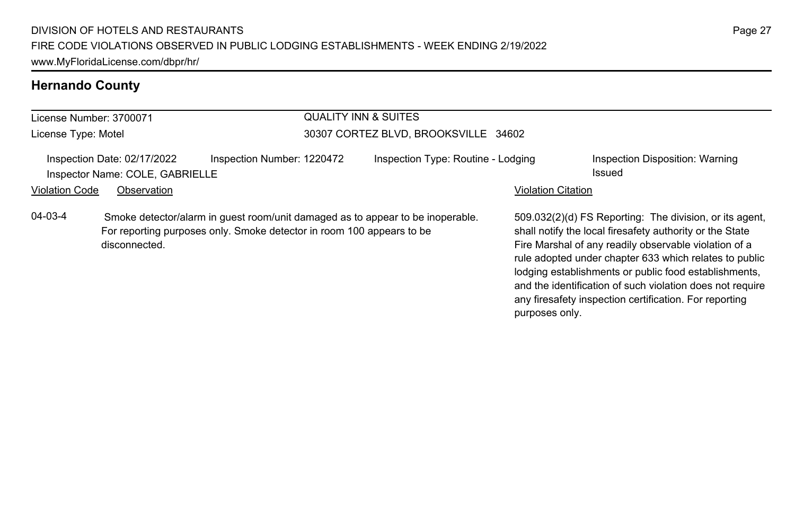# **Hernando County**

| <b>QUALITY INN &amp; SUITES</b><br>License Number: 3700071 |                                                                |                                                                                                                                                         |                                      |                           |                                                                                                                                                                                                                                                                                                                                                              |
|------------------------------------------------------------|----------------------------------------------------------------|---------------------------------------------------------------------------------------------------------------------------------------------------------|--------------------------------------|---------------------------|--------------------------------------------------------------------------------------------------------------------------------------------------------------------------------------------------------------------------------------------------------------------------------------------------------------------------------------------------------------|
| License Type: Motel                                        |                                                                |                                                                                                                                                         | 30307 CORTEZ BLVD, BROOKSVILLE 34602 |                           |                                                                                                                                                                                                                                                                                                                                                              |
|                                                            | Inspection Date: 02/17/2022<br>Inspector Name: COLE, GABRIELLE | Inspection Number: 1220472                                                                                                                              | Inspection Type: Routine - Lodging   |                           | Inspection Disposition: Warning<br>Issued                                                                                                                                                                                                                                                                                                                    |
| <b>Violation Code</b>                                      | Observation                                                    |                                                                                                                                                         |                                      | <b>Violation Citation</b> |                                                                                                                                                                                                                                                                                                                                                              |
| $04 - 03 - 4$                                              | disconnected.                                                  | Smoke detector/alarm in guest room/unit damaged as to appear to be inoperable.<br>For reporting purposes only. Smoke detector in room 100 appears to be |                                      |                           | 509.032(2)(d) FS Reporting: The division, or its agent,<br>shall notify the local firesafety authority or the State<br>Fire Marshal of any readily observable violation of a<br>rule adopted under chapter 633 which relates to public<br>lodging establishments or public food establishments,<br>and the identification of such violation does not require |

any firesafety inspection certification. For reporting

purposes only.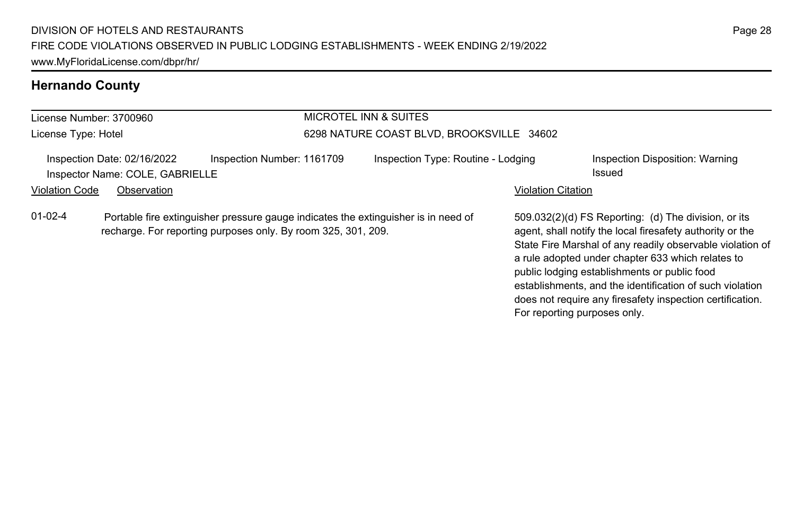# **Hernando County**

| License Number: 3700960 |                                                                |                                                                                                                                                     | <b>MICROTEL INN &amp; SUITES</b>          |                              |                                                                                                                                                                                                                                                                                                                                                                                                              |  |  |
|-------------------------|----------------------------------------------------------------|-----------------------------------------------------------------------------------------------------------------------------------------------------|-------------------------------------------|------------------------------|--------------------------------------------------------------------------------------------------------------------------------------------------------------------------------------------------------------------------------------------------------------------------------------------------------------------------------------------------------------------------------------------------------------|--|--|
| License Type: Hotel     |                                                                |                                                                                                                                                     | 6298 NATURE COAST BLVD, BROOKSVILLE 34602 |                              |                                                                                                                                                                                                                                                                                                                                                                                                              |  |  |
|                         | Inspection Date: 02/16/2022<br>Inspector Name: COLE, GABRIELLE | Inspection Number: 1161709                                                                                                                          | Inspection Type: Routine - Lodging        |                              | Inspection Disposition: Warning<br>Issued                                                                                                                                                                                                                                                                                                                                                                    |  |  |
| <b>Violation Code</b>   | Observation                                                    |                                                                                                                                                     |                                           | <b>Violation Citation</b>    |                                                                                                                                                                                                                                                                                                                                                                                                              |  |  |
| $01 - 02 - 4$           |                                                                | Portable fire extinguisher pressure gauge indicates the extinguisher is in need of<br>recharge. For reporting purposes only. By room 325, 301, 209. |                                           | For reporting purposes only. | 509.032(2)(d) FS Reporting: (d) The division, or its<br>agent, shall notify the local firesafety authority or the<br>State Fire Marshal of any readily observable violation of<br>a rule adopted under chapter 633 which relates to<br>public lodging establishments or public food<br>establishments, and the identification of such violation<br>does not require any firesafety inspection certification. |  |  |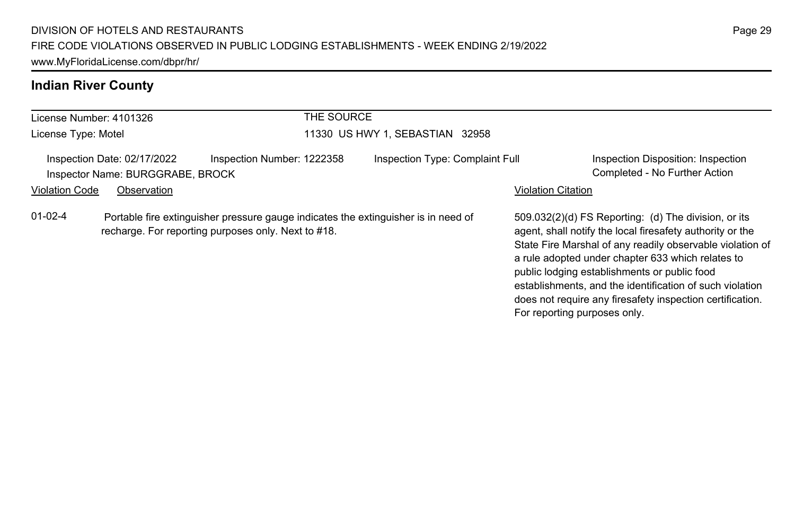# **Indian River County**

| License Number: 4101326 |                                                                 |                                                                                                                                           | THE SOURCE                      |                                                                                                                                                                                                                                                                                                                                                                                                                                              |
|-------------------------|-----------------------------------------------------------------|-------------------------------------------------------------------------------------------------------------------------------------------|---------------------------------|----------------------------------------------------------------------------------------------------------------------------------------------------------------------------------------------------------------------------------------------------------------------------------------------------------------------------------------------------------------------------------------------------------------------------------------------|
| License Type: Motel     |                                                                 |                                                                                                                                           | 11330 US HWY 1, SEBASTIAN 32958 |                                                                                                                                                                                                                                                                                                                                                                                                                                              |
|                         | Inspection Date: 02/17/2022<br>Inspector Name: BURGGRABE, BROCK | Inspection Number: 1222358                                                                                                                | Inspection Type: Complaint Full | Inspection Disposition: Inspection<br>Completed - No Further Action                                                                                                                                                                                                                                                                                                                                                                          |
| <b>Violation Code</b>   | Observation                                                     |                                                                                                                                           |                                 | <b>Violation Citation</b>                                                                                                                                                                                                                                                                                                                                                                                                                    |
| $01-02-4$               |                                                                 | Portable fire extinguisher pressure gauge indicates the extinguisher is in need of<br>recharge. For reporting purposes only. Next to #18. |                                 | 509.032(2)(d) FS Reporting: (d) The division, or its<br>agent, shall notify the local firesafety authority or the<br>State Fire Marshal of any readily observable violation of<br>a rule adopted under chapter 633 which relates to<br>public lodging establishments or public food<br>establishments, and the identification of such violation<br>does not require any firesafety inspection certification.<br>For reporting purposes only. |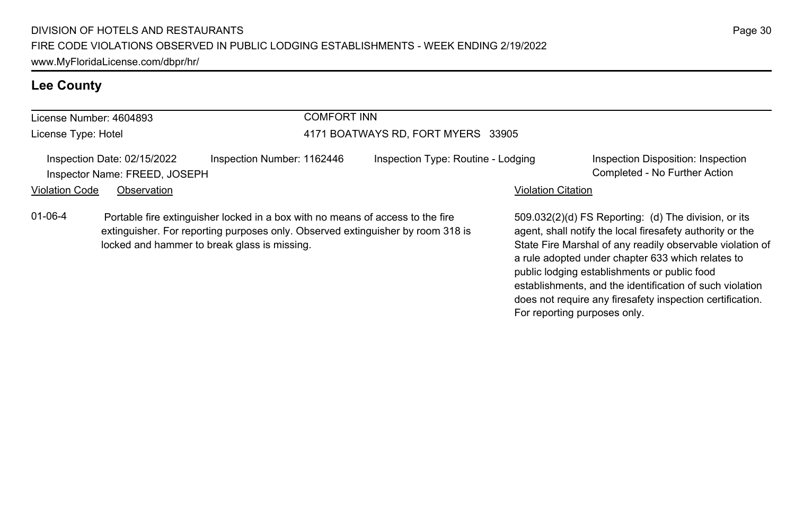# **Lee County**

| License Number: 4604893 |                                                              | COMFORT INN                                                                                                                                                       |                                    |                           |                                                                                                                   |  |
|-------------------------|--------------------------------------------------------------|-------------------------------------------------------------------------------------------------------------------------------------------------------------------|------------------------------------|---------------------------|-------------------------------------------------------------------------------------------------------------------|--|
| License Type: Hotel     |                                                              |                                                                                                                                                                   | 4171 BOATWAYS RD, FORT MYERS 33905 |                           |                                                                                                                   |  |
|                         | Inspection Date: 02/15/2022<br>Inspector Name: FREED, JOSEPH | Inspection Number: 1162446                                                                                                                                        | Inspection Type: Routine - Lodging |                           | Inspection Disposition: Inspection<br>Completed - No Further Action                                               |  |
| <b>Violation Code</b>   | Observation                                                  |                                                                                                                                                                   |                                    | <b>Violation Citation</b> |                                                                                                                   |  |
| $01 - 06 - 4$           |                                                              | Portable fire extinguisher locked in a box with no means of access to the fire<br>extinguisher. For reporting purposes only. Observed extinguisher by room 318 is |                                    |                           | 509.032(2)(d) FS Reporting: (d) The division, or its<br>agent, shall notify the local firesafety authority or the |  |

locked and hammer to break glass is missing.

agent, shall notify the local firesafety authority or the State Fire Marshal of any readily observable violation of a rule adopted under chapter 633 which relates to

establishments, and the identification of such violation does not require any firesafety inspection certification.

public lodging establishments or public food

For reporting purposes only.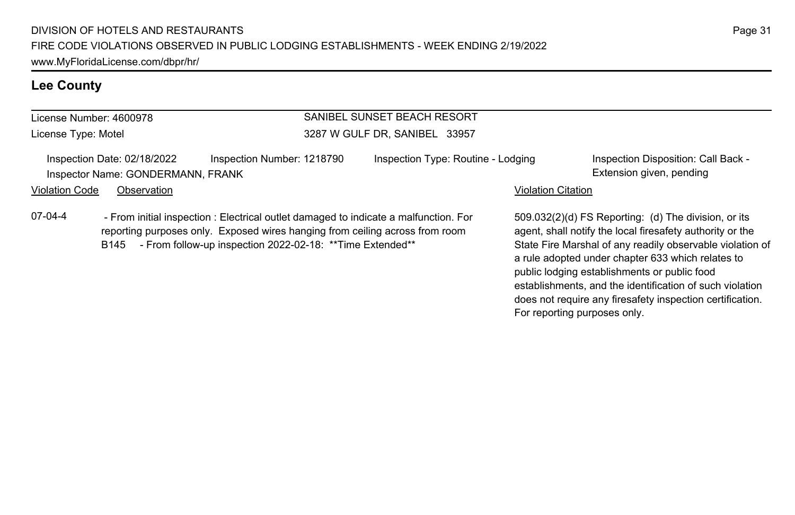# **Lee County**

| License Number: 4600978 |                                                                  |                                                                                                                                                                                                                                    | SANIBEL SUNSET BEACH RESORT        |                           |                                                                                                                                                                                |  |
|-------------------------|------------------------------------------------------------------|------------------------------------------------------------------------------------------------------------------------------------------------------------------------------------------------------------------------------------|------------------------------------|---------------------------|--------------------------------------------------------------------------------------------------------------------------------------------------------------------------------|--|
| License Type: Motel     |                                                                  |                                                                                                                                                                                                                                    | 3287 W GULF DR, SANIBEL 33957      |                           |                                                                                                                                                                                |  |
|                         | Inspection Date: 02/18/2022<br>Inspector Name: GONDERMANN, FRANK | Inspection Number: 1218790                                                                                                                                                                                                         | Inspection Type: Routine - Lodging |                           | Inspection Disposition: Call Back -<br>Extension given, pending                                                                                                                |  |
| <b>Violation Code</b>   | Observation                                                      |                                                                                                                                                                                                                                    |                                    | <b>Violation Citation</b> |                                                                                                                                                                                |  |
| 07-04-4                 | B145                                                             | - From initial inspection : Electrical outlet damaged to indicate a malfunction. For<br>reporting purposes only. Exposed wires hanging from ceiling across from room<br>- From follow-up inspection 2022-02-18: ** Time Extended** |                                    |                           | 509.032(2)(d) FS Reporting: (d) The division, or its<br>agent, shall notify the local firesafety authority or the<br>State Fire Marshal of any readily observable violation of |  |

a rule adopted under chapter 633 which relates to public lodging establishments or public food

For reporting purposes only.

establishments, and the identification of such violation does not require any firesafety inspection certification.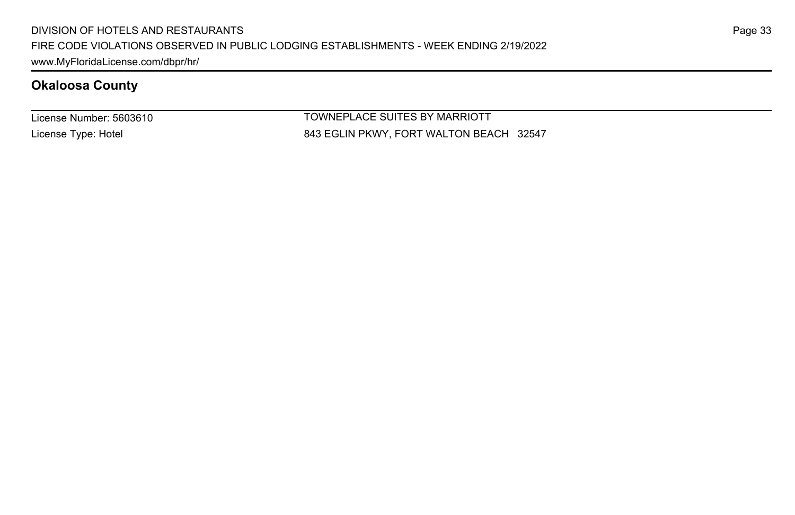License Number: 5603610 License Type: Hotel

TOWNEPLACE SUITES BY MARRIOTT 843 EGLIN PKWY, FORT WALTON BEACH 32547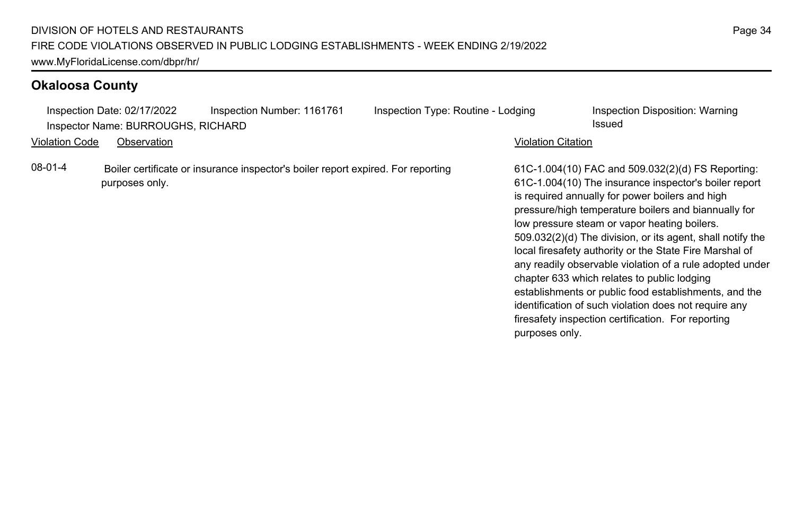|                | Inspection Date: 02/17/2022        | Inspection Number: 1161761                                                       | Inspection Type: Routine - Lodging |                           | Inspection Disposition: Warning                                                                                                                                                                                                                                                                                                                                                                                                                                                                                                                                                                                                                                                   |
|----------------|------------------------------------|----------------------------------------------------------------------------------|------------------------------------|---------------------------|-----------------------------------------------------------------------------------------------------------------------------------------------------------------------------------------------------------------------------------------------------------------------------------------------------------------------------------------------------------------------------------------------------------------------------------------------------------------------------------------------------------------------------------------------------------------------------------------------------------------------------------------------------------------------------------|
|                | Inspector Name: BURROUGHS, RICHARD |                                                                                  |                                    |                           | Issued                                                                                                                                                                                                                                                                                                                                                                                                                                                                                                                                                                                                                                                                            |
| Violation Code | Observation                        |                                                                                  |                                    | <b>Violation Citation</b> |                                                                                                                                                                                                                                                                                                                                                                                                                                                                                                                                                                                                                                                                                   |
| 08-01-4        | purposes only.                     | Boiler certificate or insurance inspector's boiler report expired. For reporting |                                    | purposes only.            | 61C-1.004(10) FAC and 509.032(2)(d) FS Reporting:<br>61C-1.004(10) The insurance inspector's boiler report<br>is required annually for power boilers and high<br>pressure/high temperature boilers and biannually for<br>low pressure steam or vapor heating boilers.<br>509.032(2)(d) The division, or its agent, shall notify the<br>local firesafety authority or the State Fire Marshal of<br>any readily observable violation of a rule adopted under<br>chapter 633 which relates to public lodging<br>establishments or public food establishments, and the<br>identification of such violation does not require any<br>firesafety inspection certification. For reporting |
|                |                                    |                                                                                  |                                    |                           |                                                                                                                                                                                                                                                                                                                                                                                                                                                                                                                                                                                                                                                                                   |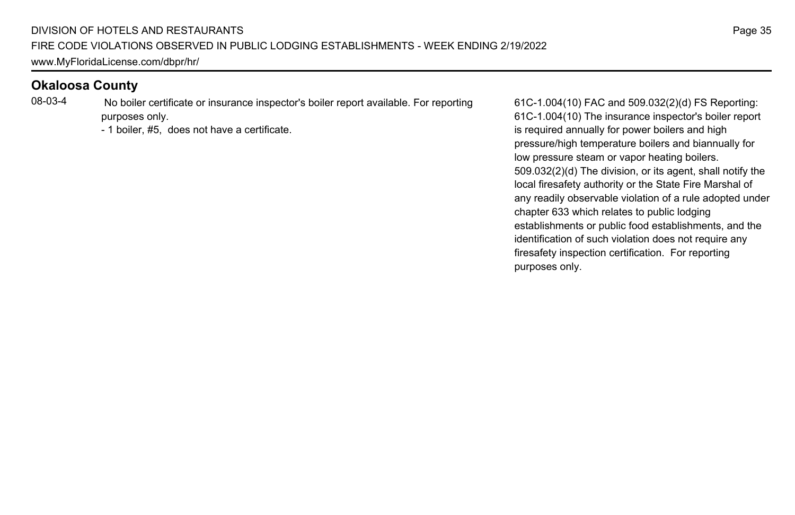08-03-4 No boiler certificate or insurance inspector's boiler report available. For reporting purposes only.

- 1 boiler, #5, does not have a certificate.

61C-1.004(10) FAC and 509.032(2)(d) FS Reporting: 61C-1.004(10) The insurance inspector's boiler report is required annually for power boilers and high pressure/high temperature boilers and biannually for low pressure steam or vapor heating boilers. 509.032(2)(d) The division, or its agent, shall notify the local firesafety authority or the State Fire Marshal of any readily observable violation of a rule adopted under chapter 633 which relates to public lodging establishments or public food establishments, and the identification of such violation does not require any firesafety inspection certification. For reporting purposes only.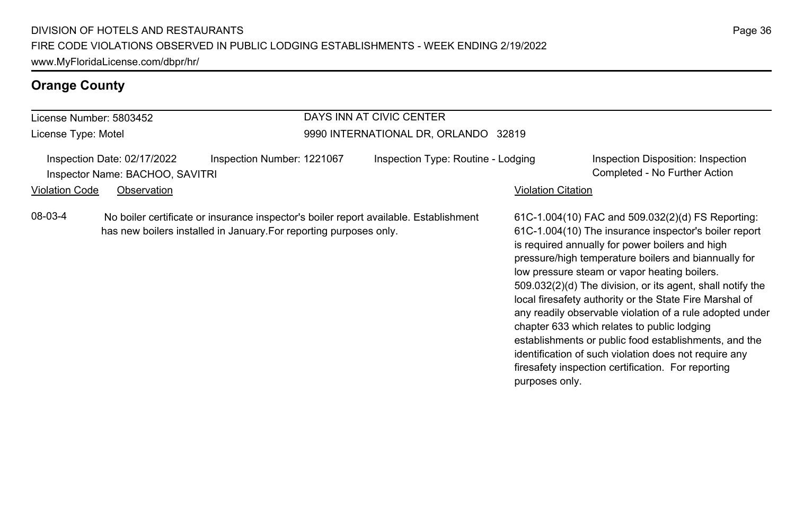| DAYS INN AT CIVIC CENTER<br>License Number: 5803452                                                    |  |                                                                                                                                                             |                                      |                    |                                                                                                                                                                                                                                                                                                                                                                                                                                                                                                                                                                                                                                                                                   |
|--------------------------------------------------------------------------------------------------------|--|-------------------------------------------------------------------------------------------------------------------------------------------------------------|--------------------------------------|--------------------|-----------------------------------------------------------------------------------------------------------------------------------------------------------------------------------------------------------------------------------------------------------------------------------------------------------------------------------------------------------------------------------------------------------------------------------------------------------------------------------------------------------------------------------------------------------------------------------------------------------------------------------------------------------------------------------|
| License Type: Motel                                                                                    |  |                                                                                                                                                             | 9990 INTERNATIONAL DR, ORLANDO 32819 |                    |                                                                                                                                                                                                                                                                                                                                                                                                                                                                                                                                                                                                                                                                                   |
| Inspection Date: 02/17/2022<br>Inspector Name: BACHOO, SAVITRI<br><b>Violation Code</b><br>Observation |  | Inspection Number: 1221067                                                                                                                                  | Inspection Type: Routine - Lodging   | Violation Citation | Inspection Disposition: Inspection<br>Completed - No Further Action                                                                                                                                                                                                                                                                                                                                                                                                                                                                                                                                                                                                               |
| 08-03-4                                                                                                |  | No boiler certificate or insurance inspector's boiler report available. Establishment<br>has new boilers installed in January. For reporting purposes only. |                                      | purposes only.     | 61C-1.004(10) FAC and 509.032(2)(d) FS Reporting:<br>61C-1.004(10) The insurance inspector's boiler report<br>is required annually for power boilers and high<br>pressure/high temperature boilers and biannually for<br>low pressure steam or vapor heating boilers.<br>509.032(2)(d) The division, or its agent, shall notify the<br>local firesafety authority or the State Fire Marshal of<br>any readily observable violation of a rule adopted under<br>chapter 633 which relates to public lodging<br>establishments or public food establishments, and the<br>identification of such violation does not require any<br>firesafety inspection certification. For reporting |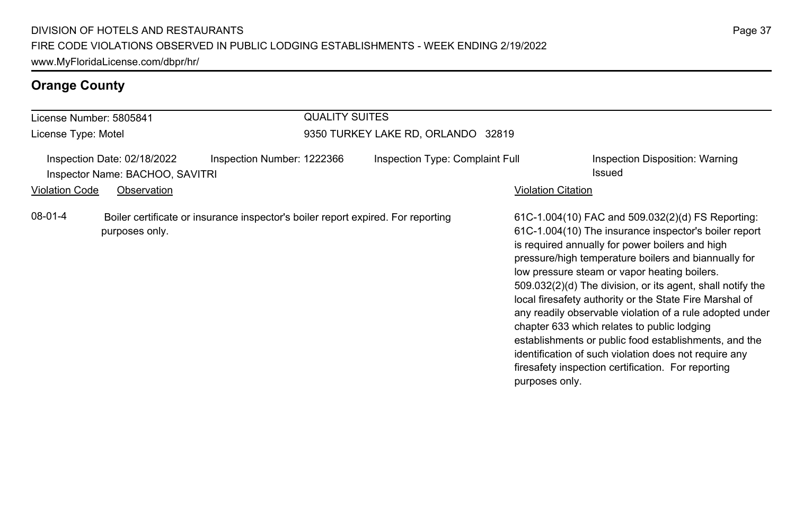| License Number: 5805841 |                                                                               |                                                                                  | <b>QUALITY SUITES</b>              |                    |                                                                                                                                                                                                                                                                                                                                                                                                                                                                                                                                                                                                                                                                                   |  |  |
|-------------------------|-------------------------------------------------------------------------------|----------------------------------------------------------------------------------|------------------------------------|--------------------|-----------------------------------------------------------------------------------------------------------------------------------------------------------------------------------------------------------------------------------------------------------------------------------------------------------------------------------------------------------------------------------------------------------------------------------------------------------------------------------------------------------------------------------------------------------------------------------------------------------------------------------------------------------------------------------|--|--|
| License Type: Motel     |                                                                               |                                                                                  | 9350 TURKEY LAKE RD, ORLANDO 32819 |                    |                                                                                                                                                                                                                                                                                                                                                                                                                                                                                                                                                                                                                                                                                   |  |  |
| <b>Violation Code</b>   | Inspection Date: 02/18/2022<br>Inspector Name: BACHOO, SAVITRI<br>Observation | Inspection Number: 1222366                                                       | Inspection Type: Complaint Full    | Violation Citation | Inspection Disposition: Warning<br>Issued                                                                                                                                                                                                                                                                                                                                                                                                                                                                                                                                                                                                                                         |  |  |
| 08-01-4                 | purposes only.                                                                | Boiler certificate or insurance inspector's boiler report expired. For reporting |                                    | purposes only.     | 61C-1.004(10) FAC and 509.032(2)(d) FS Reporting:<br>61C-1.004(10) The insurance inspector's boiler report<br>is required annually for power boilers and high<br>pressure/high temperature boilers and biannually for<br>low pressure steam or vapor heating boilers.<br>509.032(2)(d) The division, or its agent, shall notify the<br>local firesafety authority or the State Fire Marshal of<br>any readily observable violation of a rule adopted under<br>chapter 633 which relates to public lodging<br>establishments or public food establishments, and the<br>identification of such violation does not require any<br>firesafety inspection certification. For reporting |  |  |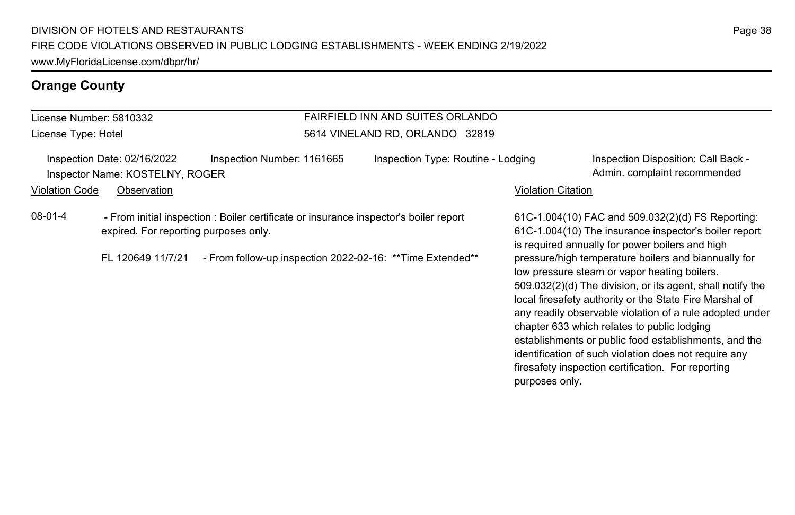#### License Number: 5810332 License Type: Hotel

#### FAIRFIELD INN AND SUITES ORLANDO 5614 VINELAND RD, ORLANDO 32819

Inspection Date: 02/16/2022 Inspection Number: 1161665 Inspection Type: Routine - Lodging Inspection Disposition: Call Back -Inspector Name: KOSTELNY, ROGER **Admin.** complaint recommended

#### Violation Code Observation **Violation Code** Observation **Violation** Violation Citation Citation Citation Citation

08-01-4 - From initial inspection : Boiler certificate or insurance inspector's boiler report expired. For reporting purposes only.

FL 120649 11/7/21 - From follow-up inspection 2022-02-16: \*\*Time Extended\*\*

61C-1.004(10) FAC and 509.032(2)(d) FS Reporting: 61C-1.004(10) The insurance inspector's boiler report is required annually for power boilers and high pressure/high temperature boilers and biannually for low pressure steam or vapor heating boilers. 509.032(2)(d) The division, or its agent, shall notify the local firesafety authority or the State Fire Marshal of any readily observable violation of a rule adopted under chapter 633 which relates to public lodging establishments or public food establishments, and the identification of such violation does not require any firesafety inspection certification. For reporting purposes only.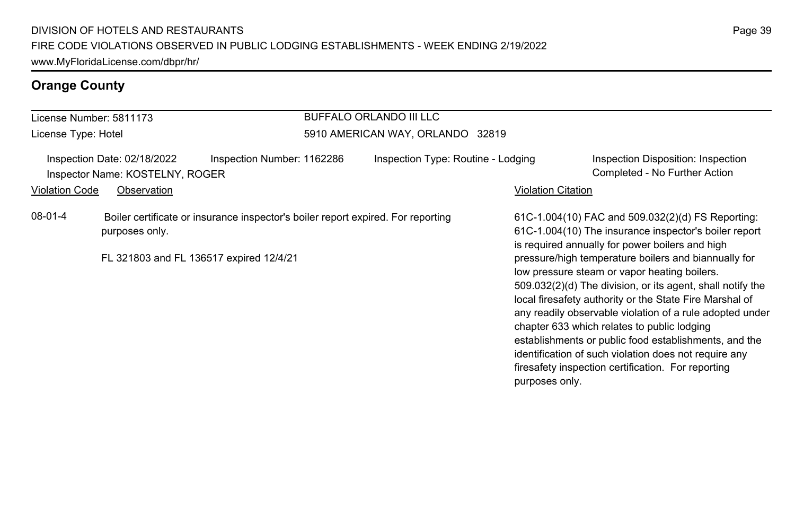|                                                                | <b>BUFFALO ORLANDO III LLC</b><br>License Number: 5811173 |                                                                                  |                                    |                           |                                                                                                                                                                                                                                                                                                                                                                                                                                                                                                                                                                                                                                                                                   |
|----------------------------------------------------------------|-----------------------------------------------------------|----------------------------------------------------------------------------------|------------------------------------|---------------------------|-----------------------------------------------------------------------------------------------------------------------------------------------------------------------------------------------------------------------------------------------------------------------------------------------------------------------------------------------------------------------------------------------------------------------------------------------------------------------------------------------------------------------------------------------------------------------------------------------------------------------------------------------------------------------------------|
| License Type: Hotel                                            |                                                           |                                                                                  | 5910 AMERICAN WAY, ORLANDO 32819   |                           |                                                                                                                                                                                                                                                                                                                                                                                                                                                                                                                                                                                                                                                                                   |
| Inspection Date: 02/18/2022<br>Inspector Name: KOSTELNY, ROGER |                                                           | Inspection Number: 1162286                                                       | Inspection Type: Routine - Lodging |                           | Inspection Disposition: Inspection<br>Completed - No Further Action                                                                                                                                                                                                                                                                                                                                                                                                                                                                                                                                                                                                               |
| <b>Violation Code</b>                                          | Observation                                               |                                                                                  |                                    | <b>Violation Citation</b> |                                                                                                                                                                                                                                                                                                                                                                                                                                                                                                                                                                                                                                                                                   |
| 08-01-4                                                        | purposes only.<br>FL 321803 and FL 136517 expired 12/4/21 | Boiler certificate or insurance inspector's boiler report expired. For reporting |                                    | purposes only.            | 61C-1.004(10) FAC and 509.032(2)(d) FS Reporting:<br>61C-1.004(10) The insurance inspector's boiler report<br>is required annually for power boilers and high<br>pressure/high temperature boilers and biannually for<br>low pressure steam or vapor heating boilers.<br>509.032(2)(d) The division, or its agent, shall notify the<br>local firesafety authority or the State Fire Marshal of<br>any readily observable violation of a rule adopted under<br>chapter 633 which relates to public lodging<br>establishments or public food establishments, and the<br>identification of such violation does not require any<br>firesafety inspection certification. For reporting |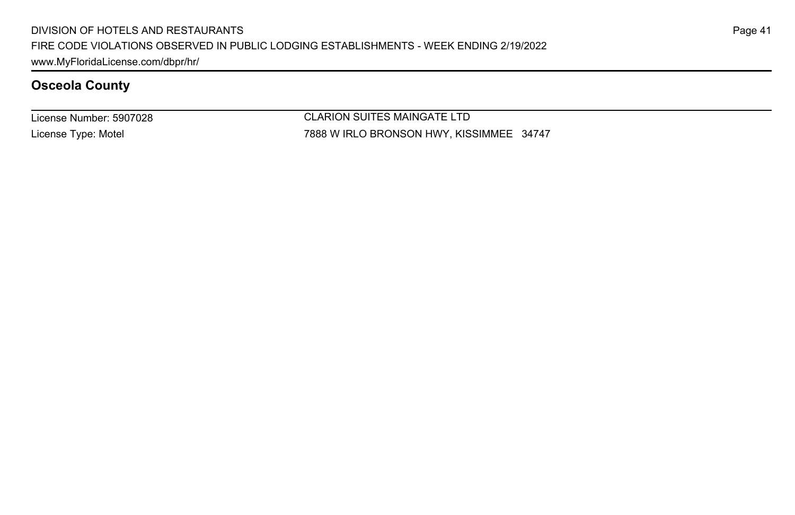License Number: 5907028 License Type: Motel

CLARION SUITES MAINGATE LTD 7888 W IRLO BRONSON HWY, KISSIMMEE 34747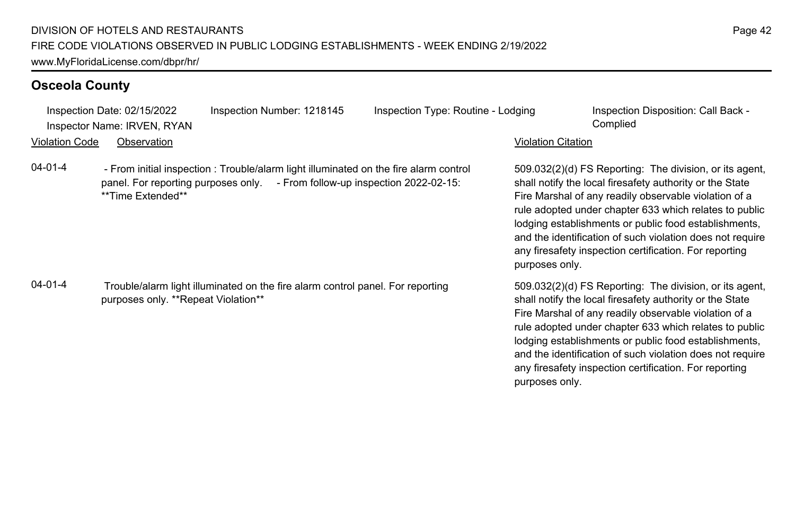\*\*Time Extended\*\*

purposes only. \*\*Repeat Violation\*\*

panel. For reporting purposes only. - From follow-up inspection 2022-02-15:

04-01-4 - From initial inspection : Trouble/alarm light illuminated on the fire alarm control

04-01-4 Trouble/alarm light illuminated on the fire alarm control panel. For reporting

Inspection Date: 02/15/2022 Inspection Number: 1218145 Inspection Type: Routine - Lodging Inspection Disposition: Call Back -

Inspector Name: IRVEN, RYAN Complied

#### Violation Code Observation Violation Citation

509.032(2)(d) FS Reporting: The division, or its agent, shall notify the local firesafety authority or the State Fire Marshal of any readily observable violation of a rule adopted under chapter 633 which relates to public lodging establishments or public food establishments, and the identification of such violation does not require any firesafety inspection certification. For reporting purposes only.

509.032(2)(d) FS Reporting: The division, or its agent, shall notify the local firesafety authority or the State Fire Marshal of any readily observable violation of a rule adopted under chapter 633 which relates to public lodging establishments or public food establishments, and the identification of such violation does not require any firesafety inspection certification. For reporting purposes only.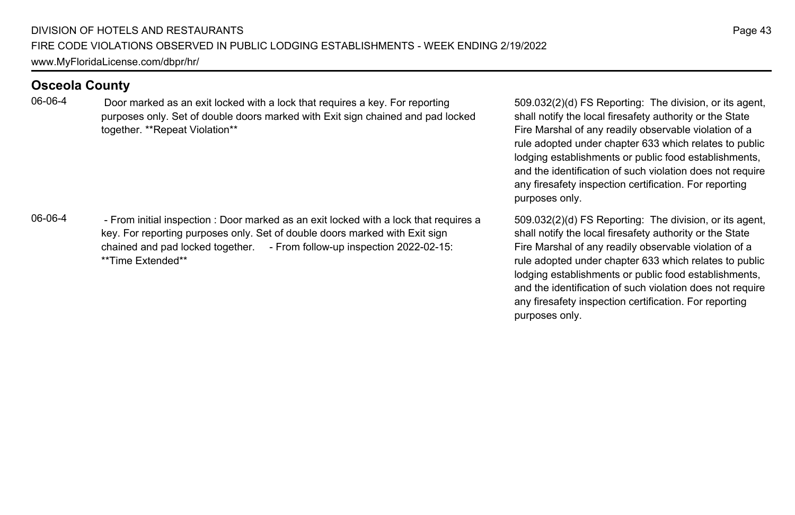06-06-4 Door marked as an exit locked with a lock that requires a key. For reporting purposes only. Set of double doors marked with Exit sign chained and pad locked together. \*\*Repeat Violation\*\*

06-06-4 - From initial inspection : Door marked as an exit locked with a lock that requires a key. For reporting purposes only. Set of double doors marked with Exit sign chained and pad locked together. - From follow-up inspection 2022-02-15: \*\*Time Extended\*\*

509.032(2)(d) FS Reporting: The division, or its agent, shall notify the local firesafety authority or the State Fire Marshal of any readily observable violation of a rule adopted under chapter 633 which relates to public lodging establishments or public food establishments, and the identification of such violation does not require any firesafety inspection certification. For reporting purposes only.

509.032(2)(d) FS Reporting: The division, or its agent, shall notify the local firesafety authority or the State Fire Marshal of any readily observable violation of a rule adopted under chapter 633 which relates to public lodging establishments or public food establishments, and the identification of such violation does not require any firesafety inspection certification. For reporting purposes only.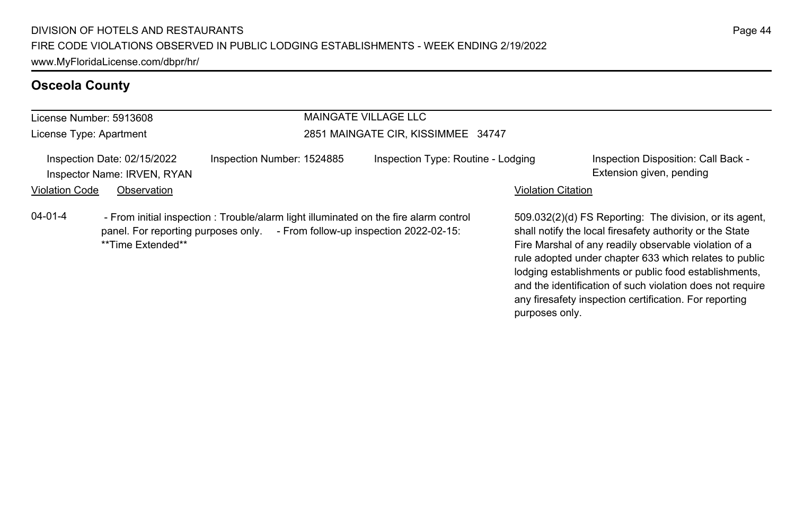#### License Number: 5913608 License Type: Apartment MAINGATE VILLAGE LLC 2851 MAINGATE CIR, KISSIMMEE 34747 Inspection Date: 02/15/2022 Inspection Number: 1524885 Inspection Type: Routine - Lodging Inspection Disposition: Call Back -Inspector Name: IRVEN, RYAN Extension given, pending and the state of the state of the state of the state of the state of the state of the state of the state of the state of the state of the state of the state of the state Violation Code Observation **Violation Code** Observation **Violation** Violation Citation Citation **Violation** 509.032(2)(d) FS Reporting: The division, or its agent, shall notify the local firesafety authority or the State Fire Marshal of any readily observable violation of a rule adopted under chapter 633 which relates to public 04-01-4 - From initial inspection : Trouble/alarm light illuminated on the fire alarm control panel. For reporting purposes only. - From follow-up inspection 2022-02-15: \*\*Time Extended\*\*

lodging establishments or public food establishments, and the identification of such violation does not require any firesafety inspection certification. For reporting

purposes only.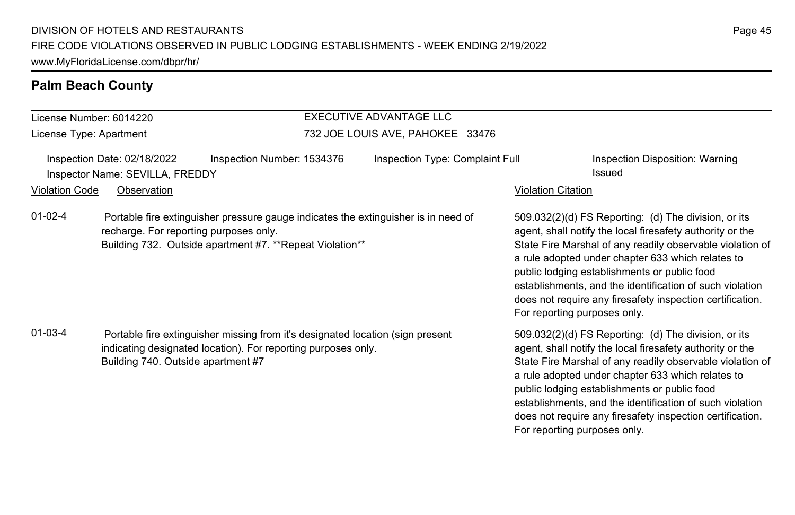#### **Palm Beach County**

#### License Number: 6014220 License Type: Apartment EXECUTIVE ADVANTAGE LLC 732 JOE LOUIS AVE, PAHOKEE 33476 Inspection Date: 02/18/2022 Inspection Number: 1534376 Inspection Type: Complaint Full Inspection Disposition: Warning Inspector Name: SEVILLA, FREDDY **Issued Inspector Name: SEVILLA, FREDDY Issued** Violation Code Observation **Violation Code** Observation **Violation** Violation Citation Citation Citation Citation 509.032(2)(d) FS Reporting: (d) The division, or its agent, shall notify the local firesafety authority or the State Fire Marshal of any readily observable violation of a rule adopted under chapter 633 which relates to public lodging establishments or public food establishments, and the identification of such violation does not require any firesafety inspection certification. For reporting purposes only. 01-02-4 Portable fire extinguisher pressure gauge indicates the extinguisher is in need of recharge. For reporting purposes only. Building 732. Outside apartment #7. \*\*Repeat Violation\*\* 509.032(2)(d) FS Reporting: (d) The division, or its agent, shall notify the local firesafety authority or the State Fire Marshal of any readily observable violation of a rule adopted under chapter 633 which relates to public lodging establishments or public food establishments, and the identification of such violation does not require any firesafety inspection certification. For reporting purposes only. 01-03-4 Portable fire extinguisher missing from it's designated location (sign present indicating designated location). For reporting purposes only. Building 740. Outside apartment #7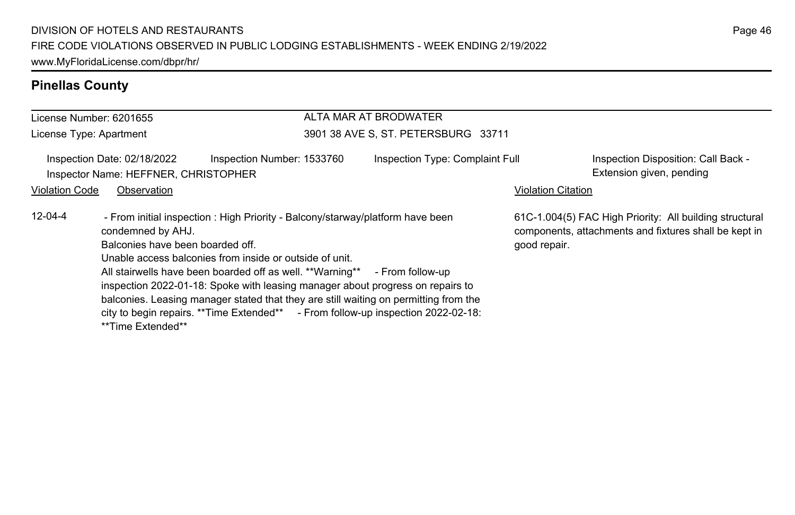#### **Pinellas County**

#### License Number: 6201655 License Type: Apartment ALTA MAR AT BRODWATER 3901 38 AVE S, ST. PETERSBURG 33711 Inspection Date: 02/18/2022 Inspection Number: 1533760 Inspection Type: Complaint Full Inspection Disposition: Call Back -Inspector Name: HEFFNER, CHRISTOPHER Extension given, pending extension given, pending Violation Code Observation **Violation Code** Observation **Violation** Violation Citation Citation Citation Citation 61C-1.004(5) FAC High Priority: All building structural components, attachments and fixtures shall be kept in good repair. 12-04-4 - From initial inspection : High Priority - Balcony/starway/platform have been condemned by AHJ. Balconies have been boarded off. Unable access balconies from inside or outside of unit. All stairwells have been boarded off as well. \*\*Warning\*\* - From follow-up inspection 2022-01-18: Spoke with leasing manager about progress on repairs to balconies. Leasing manager stated that they are still waiting on permitting from the city to begin repairs. \*\*Time Extended\*\* - From follow-up inspection 2022-02-18: \*\*Time Extended\*\*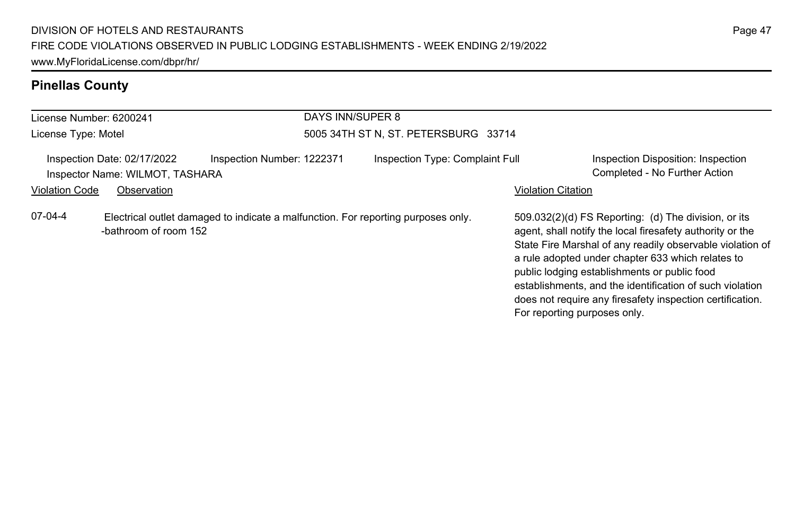# **Pinellas County**

| License Number: 6200241 |                                                                                                            |                            | DAYS INN/SUPER 8 |                                      |                              |                                                                                                                                                                                                                                                                                                                                                                                                              |
|-------------------------|------------------------------------------------------------------------------------------------------------|----------------------------|------------------|--------------------------------------|------------------------------|--------------------------------------------------------------------------------------------------------------------------------------------------------------------------------------------------------------------------------------------------------------------------------------------------------------------------------------------------------------------------------------------------------------|
| License Type: Motel     |                                                                                                            |                            |                  | 5005 34TH ST N, ST. PETERSBURG 33714 |                              |                                                                                                                                                                                                                                                                                                                                                                                                              |
|                         | Inspection Date: 02/17/2022<br>Inspector Name: WILMOT, TASHARA                                             | Inspection Number: 1222371 |                  | Inspection Type: Complaint Full      |                              | Inspection Disposition: Inspection<br>Completed - No Further Action                                                                                                                                                                                                                                                                                                                                          |
| <b>Violation Code</b>   | Observation                                                                                                |                            |                  |                                      | <b>Violation Citation</b>    |                                                                                                                                                                                                                                                                                                                                                                                                              |
| 07-04-4                 | Electrical outlet damaged to indicate a malfunction. For reporting purposes only.<br>-bathroom of room 152 |                            |                  |                                      | For reporting purposes only. | 509.032(2)(d) FS Reporting: (d) The division, or its<br>agent, shall notify the local firesafety authority or the<br>State Fire Marshal of any readily observable violation of<br>a rule adopted under chapter 633 which relates to<br>public lodging establishments or public food<br>establishments, and the identification of such violation<br>does not require any firesafety inspection certification. |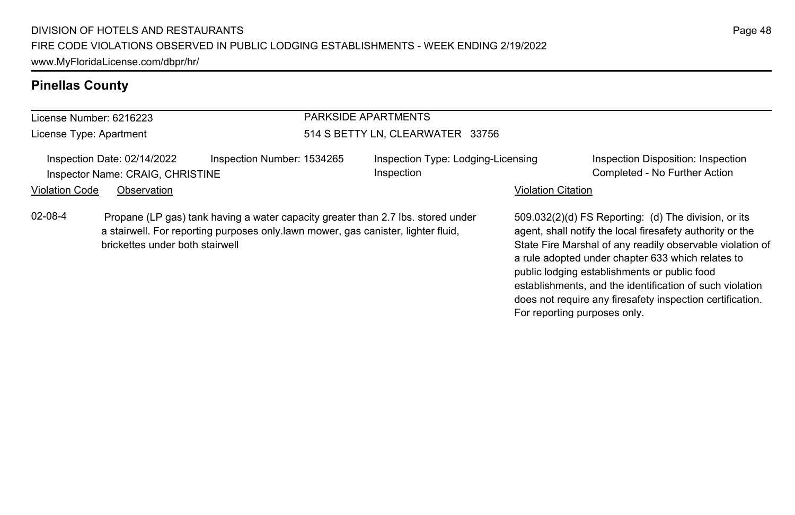#### **Pinellas County**

# License Number: 6216223

License Type: Apartment

#### PARKSIDE APARTMENTS 514 S BETTY LN, CLEARWATER 33756

Inspection Date: 02/14/2022 Inspection Number: 1534265 Inspection Type: Lodging-Licensing Inspector Name: CRAIG, CHRISTINE COMPLETED STATES Inspection Completed - No Further Action

Inspection

Inspection Disposition: Inspection

#### Violation Code Observation **Violation Code** Observation **Violation** Violation Citation Citation **Violation**

02-08-4 Propane (LP gas) tank having a water capacity greater than 2.7 lbs. stored under a stairwell. For reporting purposes only.lawn mower, gas canister, lighter fluid, brickettes under both stairwell

509.032(2)(d) FS Reporting: (d) The division, or its agent, shall notify the local firesafety authority or the State Fire Marshal of any readily observable violation of a rule adopted under chapter 633 which relates to public lodging establishments or public food establishments, and the identification of such violation does not require any firesafety inspection certification. For reporting purposes only.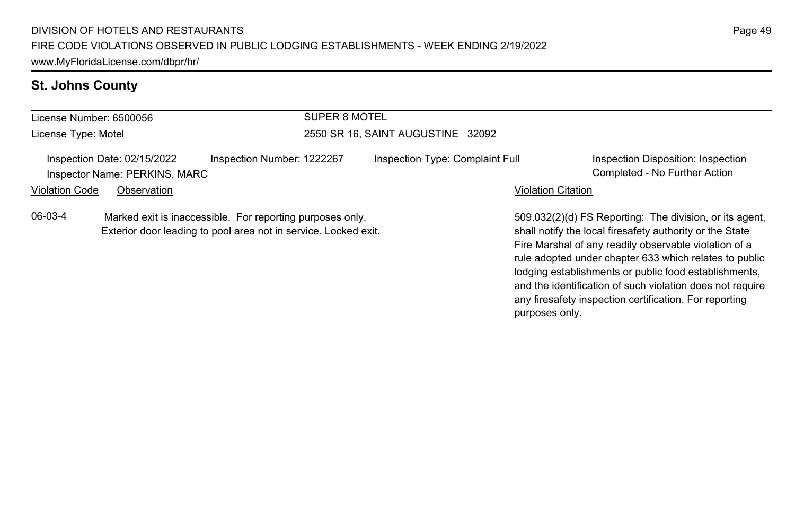# **St. Johns County**

| License Number: 6500056                                                                                                                 |                                                              |                            | SUPER 8 MOTEL                     |                                 |                                                                                                                                                                              |                                                                     |
|-----------------------------------------------------------------------------------------------------------------------------------------|--------------------------------------------------------------|----------------------------|-----------------------------------|---------------------------------|------------------------------------------------------------------------------------------------------------------------------------------------------------------------------|---------------------------------------------------------------------|
| License Type: Motel                                                                                                                     |                                                              |                            | 2550 SR 16, SAINT AUGUSTINE 32092 |                                 |                                                                                                                                                                              |                                                                     |
|                                                                                                                                         | Inspection Date: 02/15/2022<br>Inspector Name: PERKINS, MARC | Inspection Number: 1222267 |                                   | Inspection Type: Complaint Full |                                                                                                                                                                              | Inspection Disposition: Inspection<br>Completed - No Further Action |
| <b>Violation Code</b>                                                                                                                   | Observation                                                  |                            |                                   |                                 | <b>Violation Citation</b>                                                                                                                                                    |                                                                     |
| 06-03-4<br>Marked exit is inaccessible. For reporting purposes only.<br>Exterior door leading to pool area not in service. Locked exit. |                                                              |                            |                                   |                                 | 509.032(2)(d) FS Reporting: The division, or its agent.<br>shall notify the local firesafety authority or the State<br>Fire Marshal of any readily observable violation of a |                                                                     |

Page 49

rule adopted under chapter 633 which relates to public lodging establishments or public food establishments, and the identification of such violation does not require any firesafety inspection certification. For reporting

purposes only.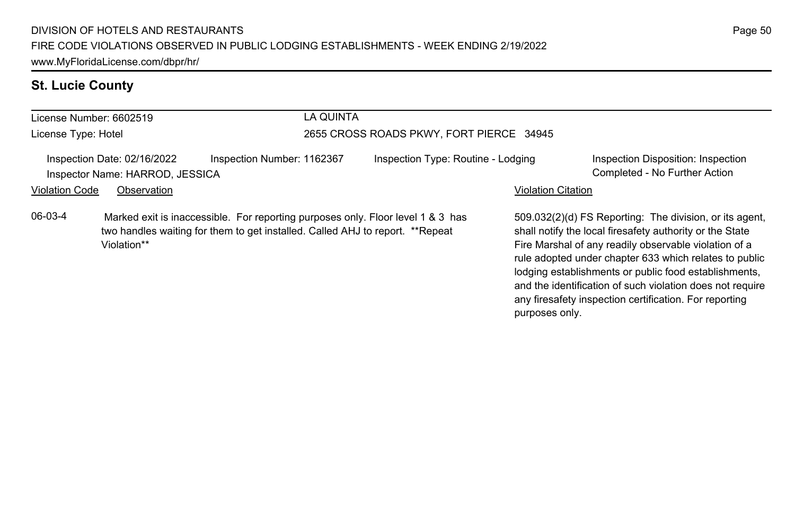# **St. Lucie County**

| License Number: 6602519                                                                                                                                                                    |                                                                |                            | LA QUINTA                                |                           |                                                                                                                                                                                                                                                                                                                                                              |  |
|--------------------------------------------------------------------------------------------------------------------------------------------------------------------------------------------|----------------------------------------------------------------|----------------------------|------------------------------------------|---------------------------|--------------------------------------------------------------------------------------------------------------------------------------------------------------------------------------------------------------------------------------------------------------------------------------------------------------------------------------------------------------|--|
| License Type: Hotel                                                                                                                                                                        |                                                                |                            | 2655 CROSS ROADS PKWY, FORT PIERCE 34945 |                           |                                                                                                                                                                                                                                                                                                                                                              |  |
|                                                                                                                                                                                            | Inspection Date: 02/16/2022<br>Inspector Name: HARROD, JESSICA | Inspection Number: 1162367 | Inspection Type: Routine - Lodging       |                           | Inspection Disposition: Inspection<br>Completed - No Further Action                                                                                                                                                                                                                                                                                          |  |
| <b>Violation Code</b>                                                                                                                                                                      | Observation                                                    |                            |                                          | <b>Violation Citation</b> |                                                                                                                                                                                                                                                                                                                                                              |  |
| 06-03-4<br>Marked exit is inaccessible. For reporting purposes only. Floor level 1 & 3 has<br>two handles waiting for them to get installed. Called AHJ to report. **Repeat<br>Violation** |                                                                |                            |                                          |                           | 509.032(2)(d) FS Reporting: The division, or its agent,<br>shall notify the local firesafety authority or the State<br>Fire Marshal of any readily observable violation of a<br>rule adopted under chapter 633 which relates to public<br>lodging establishments or public food establishments,<br>and the identification of such violation does not require |  |

any firesafety inspection certification. For reporting

purposes only.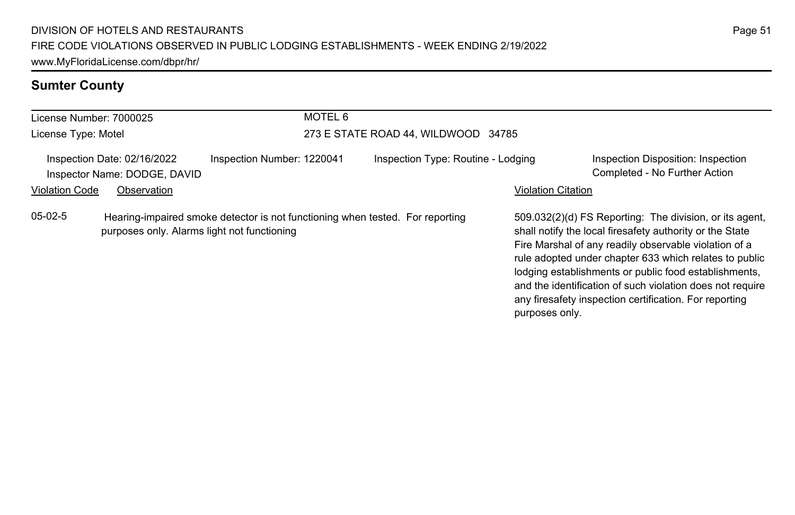# **Sumter County**

| License Number: 7000025                                                                                                                   |                                                             |                            | MOTEL 6                             |                                    |                           |                                                                                                                                                                                                                                                                                                                                                                                                                        |  |
|-------------------------------------------------------------------------------------------------------------------------------------------|-------------------------------------------------------------|----------------------------|-------------------------------------|------------------------------------|---------------------------|------------------------------------------------------------------------------------------------------------------------------------------------------------------------------------------------------------------------------------------------------------------------------------------------------------------------------------------------------------------------------------------------------------------------|--|
| License Type: Motel                                                                                                                       |                                                             |                            | 273 E STATE ROAD 44, WILDWOOD 34785 |                                    |                           |                                                                                                                                                                                                                                                                                                                                                                                                                        |  |
|                                                                                                                                           | Inspection Date: 02/16/2022<br>Inspector Name: DODGE, DAVID | Inspection Number: 1220041 |                                     | Inspection Type: Routine - Lodging |                           | Inspection Disposition: Inspection<br>Completed - No Further Action                                                                                                                                                                                                                                                                                                                                                    |  |
| <b>Violation Code</b>                                                                                                                     | Observation                                                 |                            |                                     |                                    | <b>Violation Citation</b> |                                                                                                                                                                                                                                                                                                                                                                                                                        |  |
| $05-02-5$<br>Hearing-impaired smoke detector is not functioning when tested. For reporting<br>purposes only. Alarms light not functioning |                                                             |                            |                                     |                                    | purposes only.            | 509.032(2)(d) FS Reporting: The division, or its agent,<br>shall notify the local firesafety authority or the State<br>Fire Marshal of any readily observable violation of a<br>rule adopted under chapter 633 which relates to public<br>lodging establishments or public food establishments,<br>and the identification of such violation does not require<br>any firesafety inspection certification. For reporting |  |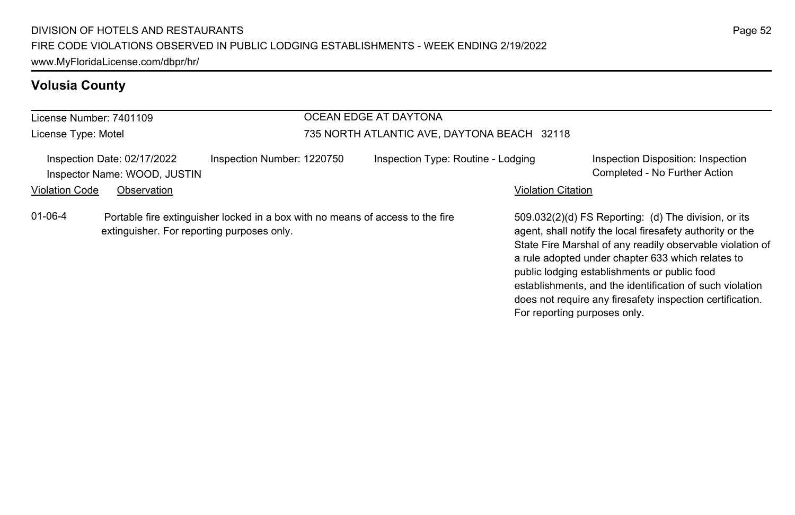#### License Number: 7401109 License Type: Motel OCEAN EDGE AT DAYTONA 735 NORTH ATLANTIC AVE, DAYTONA BEACH 32118 Inspection Date: 02/17/2022 Inspection Number: 1220750 Inspection Type: Routine - Lodging Inspection Disposition: Inspection Inspector Name: WOOD, JUSTIN Completed - No Further Action Violation Code Observation **Violation Code** Observation **Violation** Violation Citation Citation **Violation** 509.032(2)(d) FS Reporting: (d) The division, or its agent, shall notify the local firesafety authority or the State Fire Marshal of any readily observable violation of a rule adopted under chapter 633 which relates to 01-06-4 Portable fire extinguisher locked in a box with no means of access to the fire extinguisher. For reporting purposes only.

public lodging establishments or public food

For reporting purposes only.

establishments, and the identification of such violation does not require any firesafety inspection certification.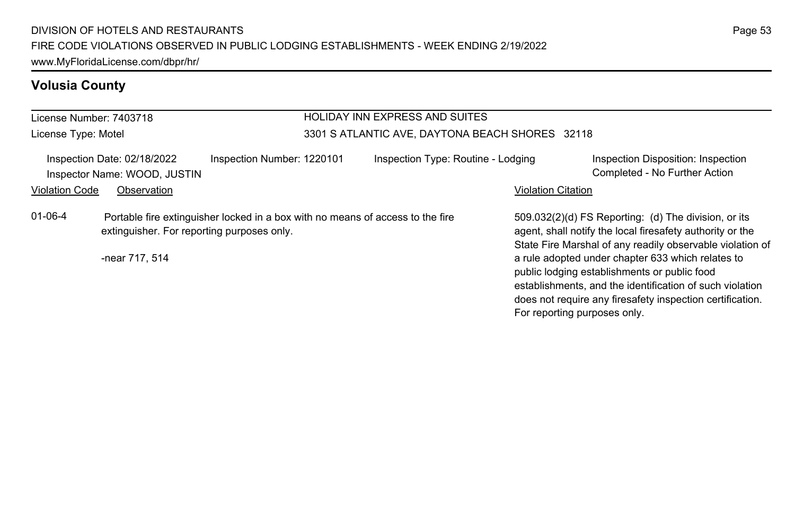| License Number: 7403718                                                                                                                                         |                                                             |                            |                                                 | <b>HOLIDAY INN EXPRESS AND SUITES</b> |                                                                                                                                                                                                                                                                                                                                                                                                              |                                                                     |  |
|-----------------------------------------------------------------------------------------------------------------------------------------------------------------|-------------------------------------------------------------|----------------------------|-------------------------------------------------|---------------------------------------|--------------------------------------------------------------------------------------------------------------------------------------------------------------------------------------------------------------------------------------------------------------------------------------------------------------------------------------------------------------------------------------------------------------|---------------------------------------------------------------------|--|
| License Type: Motel                                                                                                                                             |                                                             |                            | 3301 S ATLANTIC AVE, DAYTONA BEACH SHORES 32118 |                                       |                                                                                                                                                                                                                                                                                                                                                                                                              |                                                                     |  |
|                                                                                                                                                                 | Inspection Date: 02/18/2022<br>Inspector Name: WOOD, JUSTIN | Inspection Number: 1220101 |                                                 | Inspection Type: Routine - Lodging    |                                                                                                                                                                                                                                                                                                                                                                                                              | Inspection Disposition: Inspection<br>Completed - No Further Action |  |
| <b>Violation Code</b>                                                                                                                                           | Observation                                                 |                            |                                                 |                                       | <b>Violation Citation</b>                                                                                                                                                                                                                                                                                                                                                                                    |                                                                     |  |
| $01 - 06 - 4$<br>Portable fire extinguisher locked in a box with no means of access to the fire<br>extinguisher. For reporting purposes only.<br>-near 717, 514 |                                                             |                            |                                                 | For reporting purposes only.          | 509.032(2)(d) FS Reporting: (d) The division, or its<br>agent, shall notify the local firesafety authority or the<br>State Fire Marshal of any readily observable violation of<br>a rule adopted under chapter 633 which relates to<br>public lodging establishments or public food<br>establishments, and the identification of such violation<br>does not require any firesafety inspection certification. |                                                                     |  |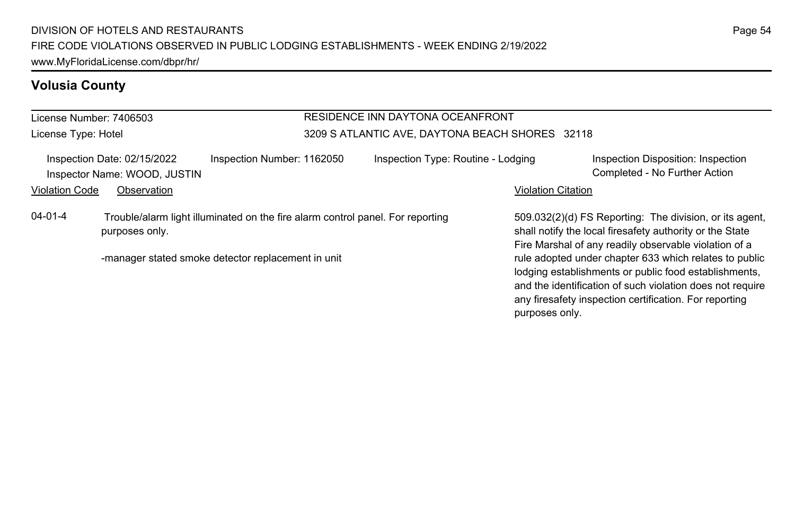#### License Number: 7406503 License Type: Hotel RESIDENCE INN DAYTONA OCEANFRONT 3209 S ATLANTIC AVE, DAYTONA BEACH SHORES 32118 Inspection Date: 02/15/2022 Inspection Number: 1162050 Inspection Type: Routine - Lodging Inspection Disposition: Inspection Inspector Name: WOOD, JUSTIN Completed - No Further Action Violation Code Observation **Violation Code** Observation **Violation** Violation Citation Citation **Violation** 509.032(2)(d) FS Reporting: The division, or its agent, 04-01-4 Trouble/alarm light illuminated on the fire alarm control panel. For reporting purposes only.

-manager stated smoke detector replacement in unit

shall notify the local firesafety authority or the State Fire Marshal of any readily observable violation of a rule adopted under chapter 633 which relates to public lodging establishments or public food establishments, and the identification of such violation does not require any firesafety inspection certification. For reporting purposes only.